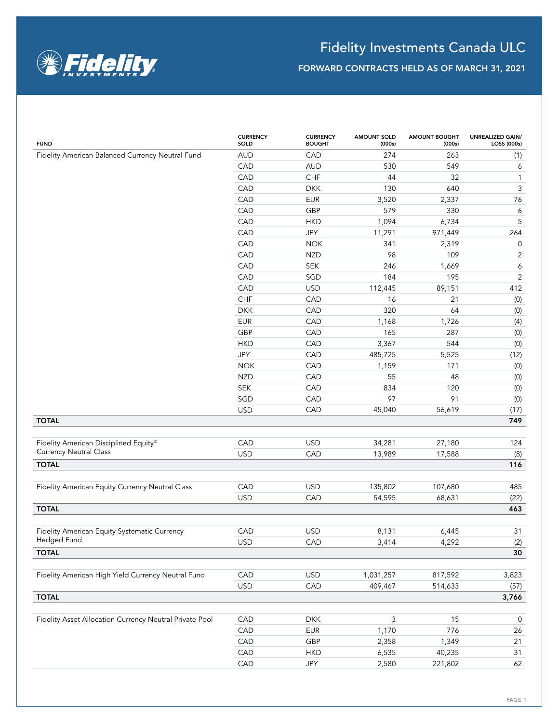

| Fidelity American Balanced Currency Neutral Fund<br><b>AUD</b><br>CAD<br>274<br>CAD<br><b>AUD</b><br>530 | 263<br>(1)<br>549<br>6           |
|----------------------------------------------------------------------------------------------------------|----------------------------------|
|                                                                                                          |                                  |
|                                                                                                          |                                  |
| CHF<br>CAD<br>44                                                                                         | 32<br>$\mathbf{1}$               |
| CAD<br><b>DKK</b><br>130                                                                                 | $\ensuremath{\mathsf{3}}$<br>640 |
| CAD<br><b>EUR</b><br>3,520                                                                               | 76<br>2,337                      |
| 579<br>CAD<br>GBP                                                                                        | 330<br>6                         |
| CAD<br>1,094<br><b>HKD</b>                                                                               | 5<br>6,734                       |
| CAD<br>JPY<br>11,291<br>971,449                                                                          | 264                              |
| CAD<br>341<br><b>NOK</b>                                                                                 | $\mathsf{O}\xspace$<br>2,319     |
| CAD<br>98<br><b>NZD</b>                                                                                  | 109<br>$\mathbf{2}$              |
| CAD<br>246<br>SEK                                                                                        | $\boldsymbol{6}$<br>1,669        |
| CAD<br>184<br>SGD                                                                                        | $\overline{c}$<br>195            |
| CAD<br><b>USD</b><br>112,445<br>89,151                                                                   | 412                              |
| CHF<br>CAD<br>16                                                                                         | (0)<br>21                        |
| <b>DKK</b><br>CAD<br>320                                                                                 | 64<br>(0)                        |
| <b>EUR</b><br>CAD<br>1,168                                                                               | 1,726<br>(4)                     |
| GBP<br>CAD<br>165                                                                                        | 287<br>(0)                       |
| <b>HKD</b><br>CAD<br>3,367                                                                               | 544<br>(0)                       |
| JPY<br>CAD<br>485,725                                                                                    | 5,525<br>(12)                    |
| <b>NOK</b><br>CAD<br>1,159                                                                               | 171<br>(0)                       |
| <b>NZD</b><br>CAD<br>55                                                                                  | 48<br>(0)                        |
| <b>SEK</b><br>CAD<br>834                                                                                 | 120<br>(0)                       |
| SGD<br>97<br>CAD                                                                                         | 91<br>(0)                        |
| <b>USD</b><br>CAD<br>45,040<br>56,619                                                                    | (17)                             |
| <b>TOTAL</b>                                                                                             | 749                              |
| CAD<br><b>USD</b><br>34,281<br>27,180<br>Fidelity American Disciplined Equity®                           | 124                              |
| <b>Currency Neutral Class</b><br><b>USD</b><br>CAD<br>13,989<br>17,588                                   | (8)                              |
| <b>TOTAL</b>                                                                                             | 116                              |
| CAD<br><b>USD</b><br>135,802<br>107,680<br>Fidelity American Equity Currency Neutral Class               | 485                              |
| <b>USD</b><br>CAD<br>54,595<br>68,631                                                                    | (22)                             |
| <b>TOTAL</b>                                                                                             | 463                              |
| Fidelity American Equity Systematic Currency<br>CAD<br><b>USD</b><br>8,131                               | 31<br>6,445                      |
| Hedged Fund<br><b>USD</b><br>CAD<br>3,414                                                                | 4,292<br>(2)                     |
| <b>TOTAL</b>                                                                                             | 30                               |
|                                                                                                          |                                  |
| CAD<br>Fidelity American High Yield Currency Neutral Fund<br><b>USD</b><br>1,031,257<br>817,592          | 3,823                            |
| <b>USD</b><br>CAD<br>409,467<br>514,633                                                                  | (57)                             |
| <b>TOTAL</b>                                                                                             | 3,766                            |
| $\mathfrak{Z}$<br>Fidelity Asset Allocation Currency Neutral Private Pool<br>CAD<br><b>DKK</b>           | 15<br>$\mathsf{O}$               |
| CAD<br><b>EUR</b><br>1,170                                                                               | 776<br>26                        |
| CAD<br>GBP<br>2,358                                                                                      | 1,349<br>21                      |
| CAD<br>6,535<br>40,235<br><b>HKD</b>                                                                     | 31                               |
| CAD<br>JPY<br>2,580<br>221,802                                                                           | 62                               |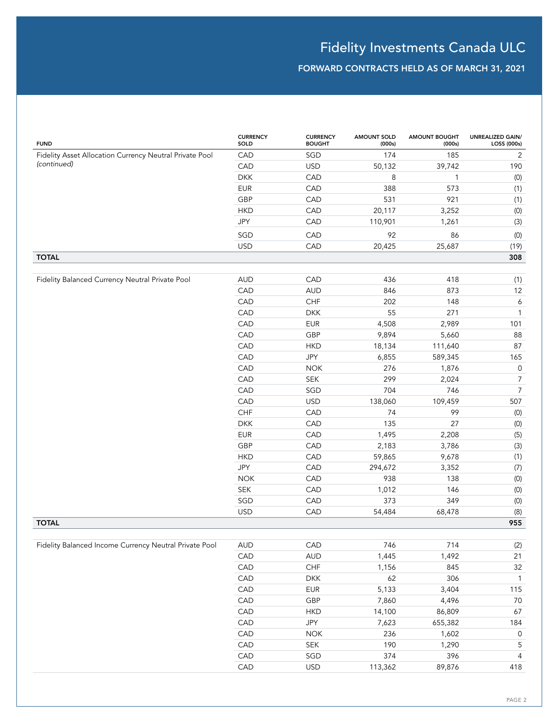| <b>FUND</b>                                             | <b>CURRENCY</b><br>SOLD | <b>CURRENCY</b><br><b>BOUGHT</b> | <b>AMOUNT SOLD</b><br>(000s) | <b>AMOUNT BOUGHT</b><br>(000s) | <b>UNREALIZED GAIN/</b><br>LOSS (000s) |
|---------------------------------------------------------|-------------------------|----------------------------------|------------------------------|--------------------------------|----------------------------------------|
| Fidelity Asset Allocation Currency Neutral Private Pool | CAD                     | SGD                              | 174                          | 185                            | $\overline{2}$                         |
| (continued)                                             | CAD                     | <b>USD</b>                       | 50,132                       | 39,742                         | 190                                    |
|                                                         | <b>DKK</b>              | CAD                              | 8                            | $\mathbf{1}$                   | (0)                                    |
|                                                         | <b>EUR</b>              | CAD                              | 388                          | 573                            | (1)                                    |
|                                                         | GBP                     | CAD                              | 531                          | 921                            | (1)                                    |
|                                                         | <b>HKD</b>              | CAD                              | 20,117                       | 3,252                          | (0)                                    |
|                                                         | JPY                     | CAD                              | 110,901                      | 1,261                          | (3)                                    |
|                                                         | SGD                     | CAD                              | 92                           | 86                             | (0)                                    |
|                                                         | <b>USD</b>              | CAD                              | 20,425                       | 25,687                         | (19)                                   |
| <b>TOTAL</b>                                            |                         |                                  |                              |                                | 308                                    |
|                                                         |                         |                                  |                              |                                |                                        |
| Fidelity Balanced Currency Neutral Private Pool         | <b>AUD</b>              | CAD                              | 436                          | 418                            | (1)                                    |
|                                                         | CAD                     | <b>AUD</b>                       | 846                          | 873                            | 12                                     |
|                                                         | CAD                     | CHF                              | 202                          | 148                            | 6                                      |
|                                                         | CAD                     | <b>DKK</b>                       | 55                           | 271                            | $\mathbf{1}$                           |
|                                                         | CAD                     | <b>EUR</b>                       | 4,508                        | 2,989                          | 101                                    |
|                                                         | CAD                     | GBP                              | 9,894                        | 5,660                          | 88                                     |
|                                                         | CAD                     | <b>HKD</b>                       | 18,134                       | 111,640                        | 87                                     |
|                                                         | CAD                     | JPY                              | 6,855                        | 589,345                        | 165                                    |
|                                                         | CAD                     | <b>NOK</b>                       | 276                          | 1,876                          | $\mathsf{O}\xspace$                    |
|                                                         | CAD                     | <b>SEK</b>                       | 299                          | 2,024                          | $\overline{7}$                         |
|                                                         | CAD                     | SGD                              | 704                          | 746                            | $\boldsymbol{7}$                       |
|                                                         | CAD                     | <b>USD</b>                       | 138,060                      | 109,459                        | 507                                    |
|                                                         | CHF                     | CAD                              | 74                           | 99                             | (0)                                    |
|                                                         | <b>DKK</b>              | CAD                              | 135                          | 27                             | (0)                                    |
|                                                         | <b>EUR</b>              | CAD                              | 1,495                        | 2,208                          | (5)                                    |
|                                                         | GBP                     | CAD                              | 2,183                        | 3,786                          | (3)                                    |
|                                                         | <b>HKD</b>              | CAD                              | 59,865                       | 9,678                          | (1)                                    |
|                                                         | JPY                     | CAD                              | 294,672                      | 3,352                          | (7)                                    |
|                                                         | <b>NOK</b>              | CAD                              | 938                          | 138                            | (0)                                    |
|                                                         | <b>SEK</b>              | CAD                              | 1,012                        | 146                            | (0)                                    |
|                                                         | SGD                     | CAD                              | 373                          | 349                            | (0)                                    |
|                                                         | <b>USD</b>              | CAD                              | 54,484                       | 68,478                         | (8)                                    |
| <b>TOTAL</b>                                            |                         |                                  |                              |                                | 955                                    |
|                                                         |                         |                                  |                              |                                |                                        |
| Fidelity Balanced Income Currency Neutral Private Pool  | AUD                     | CAD                              | 746                          | 714                            | (2)                                    |
|                                                         | CAD                     | <b>AUD</b>                       | 1,445                        | 1,492                          | 21                                     |
|                                                         | CAD                     | ${\sf CHF}$                      | 1,156                        | 845                            | 32                                     |
|                                                         | CAD                     | <b>DKK</b>                       | 62                           | 306                            | $\overline{1}$                         |
|                                                         | CAD                     | EUR                              | 5,133                        | 3,404                          | 115                                    |
|                                                         | CAD                     | GBP                              | 7,860                        | 4,496                          | $70\,$                                 |
|                                                         | CAD                     | <b>HKD</b>                       | 14,100                       | 86,809                         | 67                                     |
|                                                         | CAD                     | JPY                              | 7,623                        | 655,382                        | 184                                    |
|                                                         | CAD                     | $\sf{NOK}$                       | 236                          | 1,602                          | $\mathsf{O}$                           |
|                                                         | CAD                     | SEK                              | 190                          | 1,290                          | $\mathsf S$                            |
|                                                         | CAD                     | SGD                              | 374                          | 396                            | $\overline{4}$                         |
|                                                         | CAD                     | USD                              | 113,362                      | 89,876                         | 418                                    |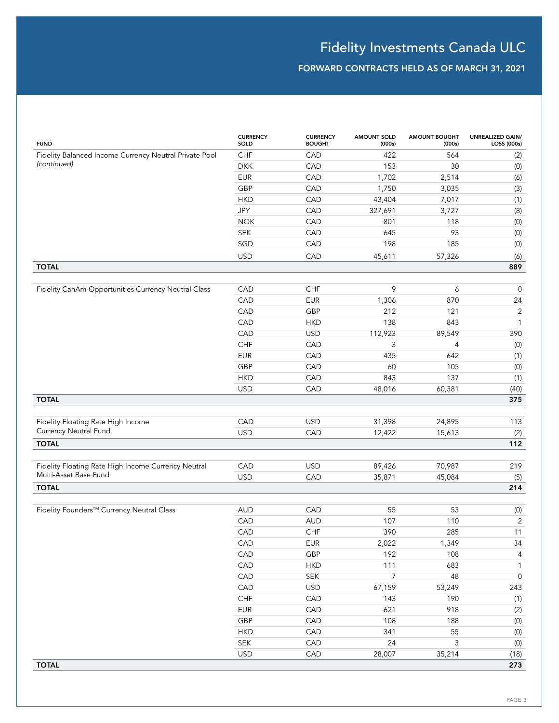| <b>FUND</b>                                            | <b>CURRENCY</b><br>SOLD | <b>CURRENCY</b><br><b>BOUGHT</b> | <b>AMOUNT SOLD</b><br>(000s) | <b>AMOUNT BOUGHT</b><br>(000s) | <b>UNREALIZED GAIN/</b><br>LOSS (000s) |
|--------------------------------------------------------|-------------------------|----------------------------------|------------------------------|--------------------------------|----------------------------------------|
| Fidelity Balanced Income Currency Neutral Private Pool | CHF                     | CAD                              | 422                          | 564                            | (2)                                    |
| (continued)                                            | <b>DKK</b>              | CAD                              | 153                          | 30                             | (0)                                    |
|                                                        | <b>EUR</b>              | CAD                              | 1,702                        | 2,514                          | (6)                                    |
|                                                        | GBP                     | CAD                              | 1,750                        | 3,035                          | (3)                                    |
|                                                        | <b>HKD</b>              | CAD                              | 43,404                       | 7,017                          | (1)                                    |
|                                                        | JPY                     | CAD                              | 327,691                      | 3,727                          | (8)                                    |
|                                                        | <b>NOK</b>              | CAD                              | 801                          | 118                            | (0)                                    |
|                                                        | <b>SEK</b>              | CAD                              | 645                          | 93                             | (0)                                    |
|                                                        | SGD                     | CAD                              | 198                          | 185                            | (0)                                    |
|                                                        | <b>USD</b>              | CAD                              | 45,611                       | 57,326                         | (6)                                    |
| <b>TOTAL</b>                                           |                         |                                  |                              |                                | 889                                    |
|                                                        |                         |                                  |                              |                                |                                        |
| Fidelity CanAm Opportunities Currency Neutral Class    | CAD                     | CHF                              | 9                            | 6                              | $\mathbf 0$                            |
|                                                        | CAD                     | <b>EUR</b>                       | 1,306                        | 870                            | 24                                     |
|                                                        | CAD                     | GBP                              | 212                          | 121                            | 2                                      |
|                                                        | CAD                     | <b>HKD</b>                       | 138                          | 843                            | $\mathbf{1}$                           |
|                                                        | CAD                     | <b>USD</b>                       | 112,923                      | 89,549                         | 390                                    |
|                                                        | CHF                     | CAD                              | 3                            | $\overline{4}$                 | (0)                                    |
|                                                        | <b>EUR</b>              | CAD                              | 435                          | 642                            | (1)                                    |
|                                                        | GBP                     | CAD                              | 60                           | 105                            | (0)                                    |
|                                                        | <b>HKD</b>              | CAD                              | 843                          | 137                            | (1)                                    |
|                                                        | <b>USD</b>              | CAD                              | 48,016                       | 60,381                         | (40)                                   |
| <b>TOTAL</b>                                           |                         |                                  |                              |                                | 375                                    |
|                                                        |                         |                                  |                              |                                |                                        |
| Fidelity Floating Rate High Income                     | CAD                     | <b>USD</b>                       | 31,398                       | 24,895                         | 113                                    |
| Currency Neutral Fund                                  | <b>USD</b>              | CAD                              | 12,422                       | 15,613                         | (2)                                    |
| <b>TOTAL</b>                                           |                         |                                  |                              |                                | 112                                    |
|                                                        |                         |                                  |                              |                                |                                        |
| Fidelity Floating Rate High Income Currency Neutral    | CAD                     | <b>USD</b>                       | 89,426                       | 70,987                         | 219                                    |
| Multi-Asset Base Fund                                  | <b>USD</b>              | CAD                              | 35,871                       | 45,084                         | (5)                                    |
| <b>TOTAL</b>                                           |                         |                                  |                              |                                | 214                                    |
|                                                        |                         |                                  |                              |                                |                                        |
| Fidelity Founders™ Currency Neutral Class              | <b>AUD</b>              | CAD                              | 55                           | 53                             | (0)                                    |
|                                                        | CAD                     | <b>AUD</b>                       | 107                          | 110                            | $\overline{2}$                         |
|                                                        | CAD                     | ${\sf CHF}$                      | 390                          | 285                            | 11                                     |
|                                                        | CAD                     | <b>EUR</b>                       | 2,022                        | 1,349                          | 34                                     |
|                                                        | CAD                     | GBP                              | 192                          | 108                            | $\overline{4}$                         |
|                                                        | CAD                     | <b>HKD</b>                       | 111                          | 683                            | $\mathbf{1}$                           |
|                                                        | CAD                     | ${\sf SEK}$                      | $\overline{7}$               | 48                             | $\mathsf{O}$                           |
|                                                        | CAD                     | <b>USD</b>                       | 67,159                       | 53,249                         | 243                                    |
|                                                        | ${\sf CHF}$             | CAD                              | 143                          | 190                            | (1)                                    |
|                                                        | <b>EUR</b>              | CAD                              | 621                          | 918                            | $\left( 2\right)$                      |
|                                                        | GBP                     | CAD                              | 108                          | 188                            | $\left( 0\right)$                      |
|                                                        | <b>HKD</b>              | CAD                              | 341                          | 55                             | $(0)$                                  |
|                                                        | ${\sf SEK}$             | CAD                              | 24                           | $\mathsf 3$                    | $(0)$                                  |
|                                                        | <b>USD</b>              | CAD                              | 28,007                       | 35,214                         | (18)                                   |
| <b>TOTAL</b>                                           |                         |                                  |                              |                                | 273                                    |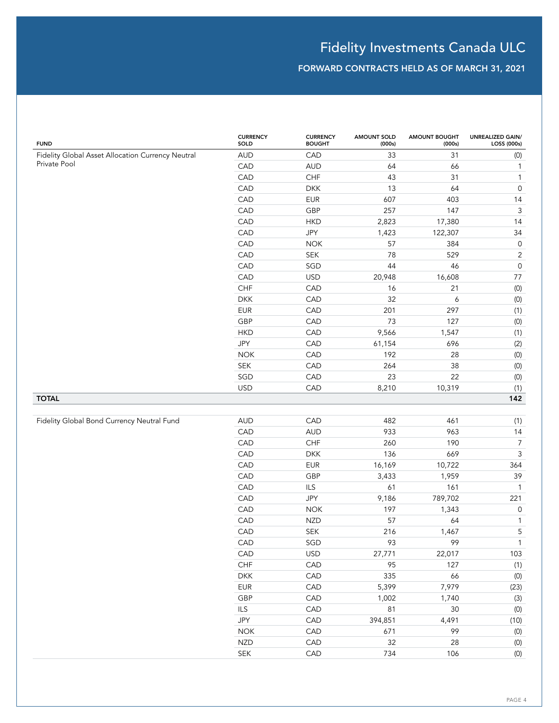| <b>FUND</b>                                                       | <b>CURRENCY</b><br>SOLD | <b>CURRENCY</b><br><b>BOUGHT</b> | <b>AMOUNT SOLD</b><br>(000s) | <b>AMOUNT BOUGHT</b><br>(000s) | <b>UNREALIZED GAIN/</b><br>LOSS (000s) |
|-------------------------------------------------------------------|-------------------------|----------------------------------|------------------------------|--------------------------------|----------------------------------------|
| Fidelity Global Asset Allocation Currency Neutral<br>Private Pool | <b>AUD</b>              | CAD                              | 33                           | 31                             | (0)                                    |
|                                                                   | CAD                     | <b>AUD</b>                       | 64                           | 66                             | $\mathbf{1}$                           |
|                                                                   | CAD                     | CHF                              | 43                           | 31                             | $\mathbf{1}$                           |
|                                                                   | CAD                     | <b>DKK</b>                       | 13                           | 64                             | $\mathsf{O}\xspace$                    |
|                                                                   | CAD                     | <b>EUR</b>                       | 607                          | 403                            | 14                                     |
|                                                                   | CAD                     | GBP                              | 257                          | 147                            | $\ensuremath{\mathsf{3}}$              |
|                                                                   | CAD                     | <b>HKD</b>                       | 2,823                        | 17,380                         | 14                                     |
|                                                                   | CAD                     | JPY                              | 1,423                        | 122,307                        | 34                                     |
|                                                                   | CAD                     | <b>NOK</b>                       | 57                           | 384                            | $\mathsf 0$                            |
|                                                                   | CAD                     | SEK                              | 78                           | 529                            | $\sqrt{2}$                             |
|                                                                   | CAD                     | SGD                              | 44                           | 46                             | $\mathsf{O}\xspace$                    |
|                                                                   | CAD                     | <b>USD</b>                       | 20,948                       | 16,608                         | 77                                     |
|                                                                   | ${\sf CHF}$             | CAD                              | 16                           | 21                             | (0)                                    |
|                                                                   | <b>DKK</b>              | CAD                              | 32                           | 6                              | (0)                                    |
|                                                                   | <b>EUR</b>              | CAD                              | 201                          | 297                            | (1)                                    |
|                                                                   | GBP                     | CAD                              | 73                           | 127                            | (0)                                    |
|                                                                   | <b>HKD</b>              | CAD                              | 9,566                        | 1,547                          | (1)                                    |
|                                                                   | JPY                     | CAD                              | 61,154                       | 696                            | (2)                                    |
|                                                                   | <b>NOK</b>              | CAD                              | 192                          | 28                             | (0)                                    |
|                                                                   | SEK                     | CAD                              | 264                          | 38                             | (0)                                    |
|                                                                   | SGD                     | CAD                              | 23                           | 22                             | (0)                                    |
|                                                                   | <b>USD</b>              | CAD                              | 8,210                        | 10,319                         | (1)                                    |
| <b>TOTAL</b>                                                      |                         |                                  |                              |                                | 142                                    |
|                                                                   |                         |                                  |                              |                                |                                        |
| Fidelity Global Bond Currency Neutral Fund                        | <b>AUD</b>              | CAD                              | 482                          | 461                            | (1)                                    |
|                                                                   | CAD                     | <b>AUD</b>                       | 933                          | 963                            | 14                                     |
|                                                                   | CAD                     | CHF                              | 260                          | 190                            | $\boldsymbol{7}$                       |
|                                                                   | CAD                     | <b>DKK</b>                       | 136                          | 669                            | $\ensuremath{\mathsf{3}}$              |
|                                                                   | CAD                     | <b>EUR</b>                       | 16,169                       | 10,722                         | 364                                    |
|                                                                   | CAD                     | GBP                              | 3,433                        | 1,959                          | 39                                     |
|                                                                   | CAD                     | ILS                              | 61                           | 161                            | $\mathbf{1}$                           |
|                                                                   | CAD                     | JPY                              | 9,186                        | 789,702                        | 221                                    |
|                                                                   | CAD                     | <b>NOK</b>                       | 197                          | 1,343                          | $\mathsf{O}\xspace$                    |
|                                                                   | CAD                     | <b>NZD</b>                       | 57                           | 64                             | $\mathbf{1}$                           |
|                                                                   | CAD                     | SEK                              | 216                          | 1,467                          | 5                                      |
|                                                                   | CAD                     | SGD                              | 93                           | 99                             | $\mathbf{1}$                           |
|                                                                   | CAD                     | <b>USD</b>                       | 27,771                       | 22,017                         | 103                                    |
|                                                                   | ${\sf CHF}$             | CAD                              | 95                           | 127                            | (1)                                    |
|                                                                   | <b>DKK</b>              | CAD                              | 335                          | 66                             | $(0)$                                  |
|                                                                   | EUR                     | CAD                              | 5,399                        | 7,979                          | (23)                                   |
|                                                                   | GBP                     | CAD                              | 1,002                        | 1,740                          | (3)                                    |
|                                                                   | ILS                     | CAD                              | 81                           | $30\,$                         | $(0)$                                  |
|                                                                   | JPY                     | CAD                              | 394,851                      | 4,491                          | (10)                                   |
|                                                                   | $NOK$                   | CAD                              | 671                          | 99                             | $(0)$                                  |
|                                                                   | <b>NZD</b>              | CAD                              | 32                           | 28                             | $(0)$                                  |
|                                                                   | SEK                     | CAD                              | 734                          | 106                            | $\left( 0\right)$                      |
|                                                                   |                         |                                  |                              |                                |                                        |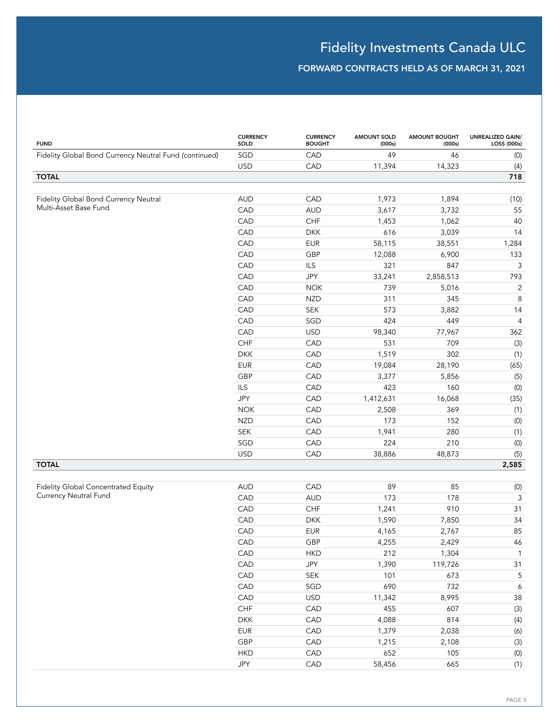| <b>FUND</b>                                            | <b>CURRENCY</b><br>SOLD | <b>CURRENCY</b><br><b>BOUGHT</b> | <b>AMOUNT SOLD</b><br>(000s) | <b>AMOUNT BOUGHT</b><br>(000s) | UNREALIZED GAIN/<br>LOSS (000s) |
|--------------------------------------------------------|-------------------------|----------------------------------|------------------------------|--------------------------------|---------------------------------|
| Fidelity Global Bond Currency Neutral Fund (continued) | SGD                     | CAD                              | 49                           | 46                             | (0)                             |
|                                                        | <b>USD</b>              | CAD                              | 11,394                       | 14,323                         | (4)                             |
| <b>TOTAL</b>                                           |                         |                                  |                              |                                | 718                             |
|                                                        |                         |                                  |                              |                                |                                 |
| Fidelity Global Bond Currency Neutral                  | <b>AUD</b>              | CAD                              | 1,973                        | 1,894                          | (10)                            |
| Multi-Asset Base Fund                                  | CAD                     | <b>AUD</b>                       | 3,617                        | 3,732                          | 55                              |
|                                                        | CAD                     | CHF                              | 1,453                        | 1,062                          | 40                              |
|                                                        | CAD                     | <b>DKK</b>                       | 616                          | 3,039                          | 14                              |
|                                                        | CAD                     | <b>EUR</b>                       | 58,115                       | 38,551                         | 1,284                           |
|                                                        | CAD                     | GBP                              | 12,088                       | 6,900                          | 133                             |
|                                                        | CAD                     | ILS                              | 321                          | 847                            | 3                               |
|                                                        | CAD                     | JPY                              | 33,241                       | 2,858,513                      | 793                             |
|                                                        | CAD                     | <b>NOK</b>                       | 739                          | 5,016                          | $\overline{2}$                  |
|                                                        | CAD                     | <b>NZD</b>                       | 311                          | 345                            | 8                               |
|                                                        | CAD                     | <b>SEK</b>                       | 573                          | 3,882                          | 14                              |
|                                                        | CAD                     | SGD                              | 424                          | 449                            | $\overline{4}$                  |
|                                                        | CAD                     | <b>USD</b>                       | 98,340                       | 77,967                         | 362                             |
|                                                        | CHF                     | CAD                              | 531                          | 709                            | (3)                             |
|                                                        | <b>DKK</b>              | CAD                              | 1,519                        | 302                            | (1)                             |
|                                                        | <b>EUR</b>              | CAD                              | 19,084                       | 28,190                         | (65)                            |
|                                                        | GBP                     | CAD                              | 3,377                        | 5,856                          | (5)                             |
|                                                        | ILS                     | CAD                              | 423                          | 160                            | (0)                             |
|                                                        | JPY                     | CAD                              | 1,412,631                    | 16,068                         | (35)                            |
|                                                        | <b>NOK</b>              | CAD                              | 2,508                        | 369                            | (1)                             |
|                                                        | <b>NZD</b>              | CAD                              | 173                          | 152                            | (0)                             |
|                                                        | <b>SEK</b>              | CAD                              | 1,941                        | 280                            | (1)                             |
|                                                        | SGD                     | CAD                              | 224                          | 210                            | $\left( 0\right)$               |
|                                                        | <b>USD</b>              | CAD                              | 38,886                       | 48,873                         | (5)                             |
| <b>TOTAL</b>                                           |                         |                                  |                              |                                | 2,585                           |
|                                                        |                         |                                  |                              |                                |                                 |
| Fidelity Global Concentrated Equity                    | <b>AUD</b>              | CAD                              | 89                           | 85                             | (0)                             |
| Currency Neutral Fund                                  | CAD                     | <b>AUD</b>                       | 173                          | 178                            | 3                               |
|                                                        | CAD                     | CHF                              | 1,241                        | 910                            | 31                              |
|                                                        | CAD                     | <b>DKK</b>                       | 1,590                        | 7,850                          | 34                              |
|                                                        | CAD                     | <b>EUR</b>                       | 4,165                        | 2,767                          | 85                              |
|                                                        | CAD                     | GBP                              | 4,255                        | 2,429                          | 46                              |
|                                                        | CAD                     | <b>HKD</b>                       | 212                          | 1,304                          | $\mathbf{1}$                    |
|                                                        | CAD                     | JPY                              | 1,390                        | 119,726                        | $31$                            |
|                                                        | CAD                     | SEK                              | 101                          | 673                            | $\mathsf S$                     |
|                                                        | CAD                     | SGD                              | 690                          | 732                            | $\boldsymbol{6}$                |
|                                                        | CAD                     | <b>USD</b>                       | 11,342                       | 8,995                          | 38                              |
|                                                        | ${\sf CHF}$             | CAD                              | 455                          | 607                            | $(3)$                           |
|                                                        | <b>DKK</b>              | CAD                              | 4,088                        | 814                            | (4)                             |
|                                                        | <b>EUR</b>              | CAD                              | 1,379                        | 2,038                          | (6)                             |
|                                                        | GBP                     | CAD                              | 1,215                        | 2,108                          | $(3)$                           |
|                                                        | <b>HKD</b>              | CAD                              | 652                          | 105                            | $\left( 0\right)$               |
|                                                        | JPY                     | CAD                              | 58,456                       | 665                            | (1)                             |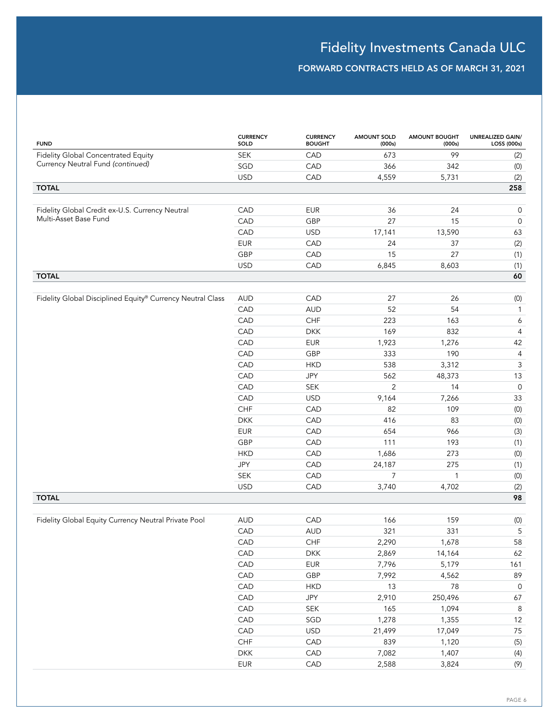# Fidelity Investments Canada ULC

| <b>FUND</b>                                                | <b>CURRENCY</b><br>SOLD | <b>CURRENCY</b><br><b>BOUGHT</b> | <b>AMOUNT SOLD</b><br>(000s) | <b>AMOUNT BOUGHT</b><br>(000s) | <b>UNREALIZED GAIN/</b><br>LOSS (000s) |
|------------------------------------------------------------|-------------------------|----------------------------------|------------------------------|--------------------------------|----------------------------------------|
| Fidelity Global Concentrated Equity                        | <b>SEK</b>              | CAD                              | 673                          | 99                             | (2)                                    |
| Currency Neutral Fund (continued)                          | SGD                     | CAD                              | 366                          | 342                            | (0)                                    |
|                                                            | <b>USD</b>              | CAD                              | 4,559                        | 5,731                          | (2)                                    |
| <b>TOTAL</b>                                               |                         |                                  |                              |                                | 258                                    |
|                                                            |                         |                                  |                              |                                |                                        |
| Fidelity Global Credit ex-U.S. Currency Neutral            | CAD                     | <b>EUR</b>                       | 36                           | 24                             | 0                                      |
| Multi-Asset Base Fund                                      | CAD                     | GBP                              | 27                           | 15                             | $\mathbf 0$                            |
|                                                            | CAD                     | <b>USD</b>                       | 17,141                       | 13,590                         | 63                                     |
|                                                            | <b>EUR</b>              | CAD                              | 24                           | 37                             | (2)                                    |
|                                                            | GBP                     | CAD                              | 15                           | 27                             | (1)                                    |
|                                                            | <b>USD</b>              | CAD                              | 6,845                        | 8,603                          | (1)                                    |
| <b>TOTAL</b>                                               |                         |                                  |                              |                                | 60                                     |
|                                                            |                         |                                  |                              |                                |                                        |
| Fidelity Global Disciplined Equity® Currency Neutral Class | <b>AUD</b>              | CAD                              | 27                           | 26                             | (0)                                    |
|                                                            | CAD                     | <b>AUD</b>                       | 52                           | 54                             | $\mathbf{1}$                           |
|                                                            | CAD                     | CHF                              | 223                          | 163                            | 6                                      |
|                                                            | CAD<br>CAD              | <b>DKK</b>                       | 169                          | 832                            | $\sqrt{4}$                             |
|                                                            |                         | <b>EUR</b>                       | 1,923                        | 1,276                          | 42                                     |
|                                                            | CAD                     | GBP                              | 333                          | 190                            | $\overline{4}$                         |
|                                                            | CAD                     | <b>HKD</b>                       | 538                          | 3,312                          | 3                                      |
|                                                            | CAD<br>CAD              | JPY                              | 562<br>2                     | 48,373<br>14                   | 13<br>$\mathbb O$                      |
|                                                            | CAD                     | <b>SEK</b><br><b>USD</b>         | 9,164                        | 7,266                          | 33                                     |
|                                                            | CHF                     | CAD                              | 82                           | 109                            |                                        |
|                                                            | <b>DKK</b>              | CAD                              | 416                          | 83                             | (0)                                    |
|                                                            | <b>EUR</b>              | CAD                              | 654                          | 966                            | (0)<br>(3)                             |
|                                                            | GBP                     | CAD                              | 111                          | 193                            | (1)                                    |
|                                                            | <b>HKD</b>              | CAD                              | 1,686                        | 273                            | (0)                                    |
|                                                            | JPY                     | CAD                              | 24,187                       | 275                            | (1)                                    |
|                                                            | <b>SEK</b>              | CAD                              | $\overline{7}$               | 1                              | (0)                                    |
|                                                            | <b>USD</b>              | CAD                              | 3,740                        | 4,702                          | (2)                                    |
| <b>TOTAL</b>                                               |                         |                                  |                              |                                | 98                                     |
|                                                            |                         |                                  |                              |                                |                                        |
| Fidelity Global Equity Currency Neutral Private Pool       | <b>AUD</b>              | CAD                              | 166                          | 159                            | (0)                                    |
|                                                            | CAD                     | <b>AUD</b>                       | 321                          | 331                            | 5                                      |
|                                                            | CAD                     | ${\sf CHF}$                      | 2,290                        | 1,678                          | 58                                     |
|                                                            | CAD                     | <b>DKK</b>                       | 2,869                        | 14,164                         | 62                                     |
|                                                            | CAD                     | EUR                              | 7,796                        | 5,179                          | 161                                    |
|                                                            | CAD                     | GBP                              | 7,992                        | 4,562                          | 89                                     |
|                                                            | CAD                     | <b>HKD</b>                       | 13                           | 78                             | $\mathsf{O}$                           |
|                                                            | CAD                     | JPY                              | 2,910                        | 250,496                        | 67                                     |
|                                                            | CAD                     | SEK                              | 165                          | 1,094                          | $\,8\,$                                |
|                                                            | CAD                     | SGD                              | 1,278                        | 1,355                          | 12                                     |
|                                                            | CAD                     | <b>USD</b>                       | 21,499                       | 17,049                         | 75                                     |
|                                                            | CHF                     | CAD                              | 839                          | 1,120                          | (5)                                    |
|                                                            | <b>DKK</b>              | CAD                              | 7,082                        | 1,407                          | (4)                                    |
|                                                            | <b>EUR</b>              | CAD                              | 2,588                        | 3,824                          | (9)                                    |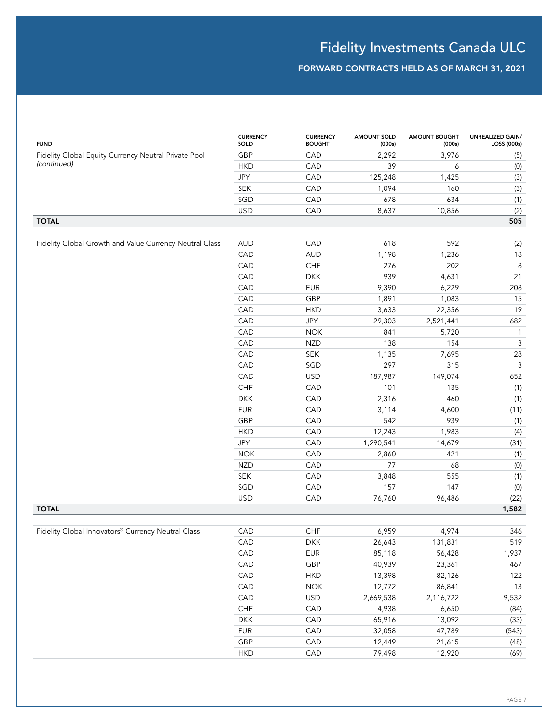| <b>FUND</b>                                             | <b>CURRENCY</b><br>SOLD     | <b>CURRENCY</b><br><b>BOUGHT</b> | <b>AMOUNT SOLD</b><br>(000s) | <b>AMOUNT BOUGHT</b><br>(000s) | <b>UNREALIZED GAIN/</b><br>LOSS (000s) |
|---------------------------------------------------------|-----------------------------|----------------------------------|------------------------------|--------------------------------|----------------------------------------|
| Fidelity Global Equity Currency Neutral Private Pool    | GBP                         | CAD                              | 2,292                        | 3,976                          | (5)                                    |
| (continued)                                             | <b>HKD</b>                  | CAD                              | 39                           | 6                              | (0)                                    |
|                                                         | JPY                         | CAD                              | 125,248                      | 1,425                          | (3)                                    |
|                                                         | <b>SEK</b>                  | CAD                              | 1,094                        | 160                            | (3)                                    |
|                                                         | SGD                         | CAD                              | 678                          | 634                            | (1)                                    |
|                                                         | <b>USD</b>                  | CAD                              | 8,637                        | 10,856                         | (2)                                    |
| <b>TOTAL</b>                                            |                             |                                  |                              |                                | 505                                    |
|                                                         |                             |                                  |                              |                                |                                        |
| Fidelity Global Growth and Value Currency Neutral Class | <b>AUD</b>                  | CAD                              | 618                          | 592                            | (2)                                    |
|                                                         | CAD                         | <b>AUD</b>                       | 1,198                        | 1,236                          | 18                                     |
|                                                         | CAD                         | CHF                              | 276                          | 202                            | $\,8\,$                                |
|                                                         | CAD                         | <b>DKK</b>                       | 939                          | 4,631                          | 21                                     |
|                                                         | CAD                         | <b>EUR</b>                       | 9,390                        | 6,229                          | 208                                    |
|                                                         | CAD                         | GBP                              | 1,891                        | 1,083                          | 15                                     |
|                                                         | CAD                         | <b>HKD</b>                       | 3,633                        | 22,356                         | 19                                     |
|                                                         | CAD                         | JPY                              | 29,303                       | 2,521,441                      | 682                                    |
|                                                         | CAD                         | <b>NOK</b>                       | 841                          | 5,720                          | $\mathbf{1}$                           |
|                                                         | CAD                         | <b>NZD</b>                       | 138                          | 154                            | $\ensuremath{\mathsf{3}}$              |
|                                                         | CAD                         | <b>SEK</b>                       | 1,135                        | 7,695                          | 28                                     |
|                                                         | CAD                         | SGD                              | 297                          | 315                            | $\mathbf{3}$                           |
|                                                         | CAD                         | <b>USD</b>                       | 187,987                      | 149,074                        | 652                                    |
|                                                         | CHF                         | CAD                              | 101                          | 135                            | (1)                                    |
|                                                         | <b>DKK</b>                  | CAD                              | 2,316                        | 460                            | (1)                                    |
|                                                         | <b>EUR</b>                  | CAD                              | 3,114                        | 4,600                          | (11)                                   |
|                                                         | GBP                         | CAD                              | 542                          | 939                            | (1)                                    |
|                                                         | <b>HKD</b>                  | CAD                              | 12,243                       | 1,983                          | (4)                                    |
|                                                         | JPY                         | CAD                              | 1,290,541                    | 14,679                         | (31)                                   |
|                                                         | <b>NOK</b>                  | CAD                              | 2,860                        | 421                            | (1)                                    |
|                                                         | <b>NZD</b>                  | CAD                              | 77                           | 68                             | (0)                                    |
|                                                         | $\ensuremath{\mathsf{SEK}}$ | CAD                              | 3,848                        | 555                            | (1)                                    |
|                                                         | SGD                         | CAD                              | 157                          | 147                            | (0)                                    |
|                                                         | <b>USD</b>                  | CAD                              | 76,760                       | 96,486                         | (22)                                   |
| <b>TOTAL</b>                                            |                             |                                  |                              |                                | 1,582                                  |
|                                                         |                             |                                  |                              |                                |                                        |
| Fidelity Global Innovators® Currency Neutral Class      | CAD                         | CHF                              | 6,959                        | 4,974                          | 346                                    |
|                                                         | CAD                         | <b>DKK</b>                       | 26,643                       | 131,831                        | 519                                    |
|                                                         | CAD                         | ${\sf EUR}$                      | 85,118                       | 56,428                         | 1,937                                  |
|                                                         | CAD                         | GBP                              | 40,939                       | 23,361                         | 467                                    |
|                                                         | CAD                         | <b>HKD</b>                       | 13,398                       | 82,126                         | 122                                    |
|                                                         | CAD                         | <b>NOK</b>                       | 12,772                       | 86,841                         | $13$                                   |
|                                                         | CAD                         | <b>USD</b>                       | 2,669,538                    | 2,116,722                      | 9,532                                  |
|                                                         | ${\sf CHF}$                 | CAD                              | 4,938                        | 6,650                          | (84)                                   |
|                                                         | <b>DKK</b>                  | CAD                              | 65,916                       | 13,092                         | (33)                                   |
|                                                         | EUR                         | CAD                              | 32,058                       | 47,789                         | (543)                                  |
|                                                         | GBP                         | CAD                              | 12,449                       | 21,615                         | (48)                                   |
|                                                         | <b>HKD</b>                  | CAD                              | 79,498                       | 12,920                         | (69)                                   |
|                                                         |                             |                                  |                              |                                |                                        |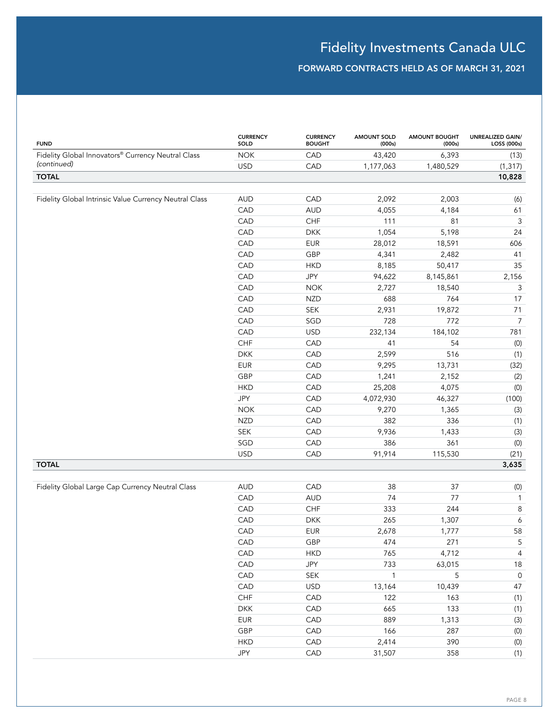| <b>FUND</b>                                            | <b>CURRENCY</b><br>SOLD | <b>CURRENCY</b><br><b>BOUGHT</b> | <b>AMOUNT SOLD</b><br>(000s) | <b>AMOUNT BOUGHT</b><br>(000s) | UNREALIZED GAIN/<br>LOSS (000s) |
|--------------------------------------------------------|-------------------------|----------------------------------|------------------------------|--------------------------------|---------------------------------|
| Fidelity Global Innovators® Currency Neutral Class     | <b>NOK</b>              | CAD                              | 43,420                       | 6,393                          | (13)                            |
| (continued)                                            | <b>USD</b>              | CAD                              | 1,177,063                    | 1,480,529                      | (1, 317)                        |
| <b>TOTAL</b>                                           |                         |                                  |                              |                                | 10,828                          |
|                                                        |                         |                                  |                              |                                |                                 |
| Fidelity Global Intrinsic Value Currency Neutral Class | <b>AUD</b>              | CAD                              | 2,092                        | 2,003                          | (6)                             |
|                                                        | CAD                     | <b>AUD</b>                       | 4,055                        | 4,184                          | 61                              |
|                                                        | CAD                     | CHF                              | 111                          | 81                             | $\mathsf 3$                     |
|                                                        | CAD                     | <b>DKK</b>                       | 1,054                        | 5,198                          | 24                              |
|                                                        | CAD                     | <b>EUR</b>                       | 28,012                       | 18,591                         | 606                             |
|                                                        | CAD                     | GBP                              | 4,341                        | 2,482                          | 41                              |
|                                                        | CAD                     | <b>HKD</b>                       | 8,185                        | 50,417                         | 35                              |
|                                                        | CAD                     | JPY                              | 94,622                       | 8,145,861                      | 2,156                           |
|                                                        | CAD                     | <b>NOK</b>                       | 2,727                        | 18,540                         | 3                               |
|                                                        | CAD                     | <b>NZD</b>                       | 688                          | 764                            | 17                              |
|                                                        | CAD                     | SEK                              | 2,931                        | 19,872                         | 71                              |
|                                                        | CAD                     | SGD                              | 728                          | 772                            | $\overline{7}$                  |
|                                                        | CAD                     | <b>USD</b>                       | 232,134                      | 184,102                        | 781                             |
|                                                        | <b>CHF</b>              | CAD                              | 41                           | 54                             | (0)                             |
|                                                        | <b>DKK</b>              | CAD                              | 2,599                        | 516                            | (1)                             |
|                                                        | <b>EUR</b>              | CAD                              | 9,295                        | 13,731                         | (32)                            |
|                                                        | GBP                     | CAD                              | 1,241                        | 2,152                          | (2)                             |
|                                                        | <b>HKD</b>              | CAD                              | 25,208                       | 4,075                          | (0)                             |
|                                                        | JPY                     | CAD                              | 4,072,930                    | 46,327                         | (100)                           |
|                                                        | <b>NOK</b>              | CAD                              | 9,270                        | 1,365                          | (3)                             |
|                                                        | <b>NZD</b>              | CAD                              | 382                          | 336                            | (1)                             |
|                                                        | SEK                     | CAD                              | 9,936                        | 1,433                          | (3)                             |
|                                                        | SGD                     | CAD                              | 386                          | 361                            | (0)                             |
|                                                        | <b>USD</b>              | CAD                              | 91,914                       | 115,530                        | (21)                            |
| <b>TOTAL</b>                                           |                         |                                  |                              |                                | 3,635                           |
|                                                        |                         |                                  |                              |                                |                                 |
| Fidelity Global Large Cap Currency Neutral Class       | <b>AUD</b>              | CAD                              | 38                           | 37                             | (0)                             |
|                                                        | CAD                     | <b>AUD</b>                       | 74                           | 77                             | $\mathbf{1}$                    |
|                                                        | CAD                     | CHF                              | 333                          | 244                            | $\,8\,$                         |
|                                                        | CAD                     | <b>DKK</b>                       | 265                          | 1,307                          | 6                               |
|                                                        | CAD                     | <b>EUR</b>                       | 2,678                        | 1,777                          | 58                              |
|                                                        | CAD                     | GBP                              | 474                          | 271                            | $\mathsf S$                     |
|                                                        | CAD                     | <b>HKD</b>                       | 765                          | 4,712                          | $\overline{4}$                  |
|                                                        | CAD                     | JPY                              | 733                          | 63,015                         | 18                              |
|                                                        | CAD                     | SEK                              | $\mathbf{1}$                 | 5                              | $\mathsf{O}\xspace$             |
|                                                        | CAD                     | <b>USD</b>                       | 13,164                       | 10,439                         | $47\,$                          |
|                                                        | CHF                     | CAD                              | 122                          | 163                            | (1)                             |
|                                                        | <b>DKK</b>              | CAD                              | 665                          | 133                            | (1)                             |
|                                                        | EUR                     | CAD                              | 889                          | 1,313                          | $\left( 3\right)$               |
|                                                        | GBP                     | CAD                              | 166                          | 287                            | $\left( 0\right)$               |
|                                                        | <b>HKD</b>              | CAD                              | 2,414                        | 390                            | $\left( 0\right)$               |
|                                                        | JPY                     | CAD                              | 31,507                       | 358                            | (1)                             |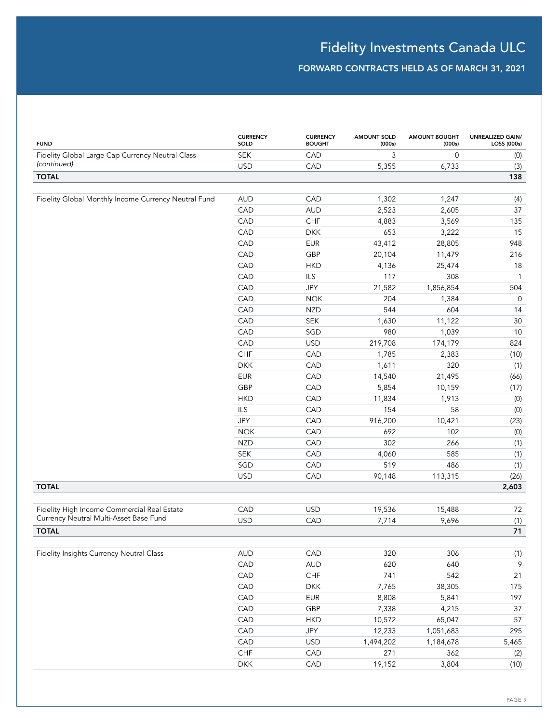| <b>FUND</b>                                          | <b>CURRENCY</b><br>SOLD | <b>CURRENCY</b><br><b>BOUGHT</b> | <b>AMOUNT SOLD</b><br>(000s) | <b>AMOUNT BOUGHT</b><br>(000s) | <b>UNREALIZED GAIN/</b><br>LOSS (000s) |
|------------------------------------------------------|-------------------------|----------------------------------|------------------------------|--------------------------------|----------------------------------------|
| Fidelity Global Large Cap Currency Neutral Class     | <b>SEK</b>              | CAD                              | 3                            | $\mathbf 0$                    | (0)                                    |
| (continued)                                          | <b>USD</b>              | CAD                              | 5,355                        | 6,733                          | (3)                                    |
| <b>TOTAL</b>                                         |                         |                                  |                              |                                | 138                                    |
|                                                      |                         |                                  |                              |                                |                                        |
| Fidelity Global Monthly Income Currency Neutral Fund | <b>AUD</b>              | CAD                              | 1,302                        | 1,247                          | (4)                                    |
|                                                      | CAD                     | <b>AUD</b>                       | 2,523                        | 2,605                          | 37                                     |
|                                                      | CAD                     | CHF                              | 4,883                        | 3,569                          | 135                                    |
|                                                      | CAD                     | <b>DKK</b>                       | 653                          | 3,222                          | 15                                     |
|                                                      | CAD                     | <b>EUR</b>                       | 43,412                       | 28,805                         | 948                                    |
|                                                      | CAD                     | GBP                              | 20,104                       | 11,479                         | 216                                    |
|                                                      | CAD                     | <b>HKD</b>                       | 4,136                        | 25,474                         | $18$                                   |
|                                                      | CAD                     | ILS                              | 117                          | 308                            | $\mathbf{1}$                           |
|                                                      | CAD                     | JPY                              | 21,582                       | 1,856,854                      | 504                                    |
|                                                      | CAD                     | <b>NOK</b>                       | 204                          | 1,384                          | $\mathsf O$                            |
|                                                      | CAD                     | <b>NZD</b>                       | 544                          | 604                            | 14                                     |
|                                                      | CAD                     | <b>SEK</b>                       | 1,630                        | 11,122                         | $30\,$                                 |
|                                                      | CAD                     | SGD                              | 980                          | 1,039                          | $10$                                   |
|                                                      | CAD                     | <b>USD</b>                       | 219,708                      | 174,179                        | 824                                    |
|                                                      | <b>CHF</b>              | CAD                              | 1,785                        | 2,383                          | (10)                                   |
|                                                      | <b>DKK</b>              | CAD                              | 1,611                        | 320                            | (1)                                    |
|                                                      | <b>EUR</b>              | CAD                              | 14,540                       | 21,495                         | (66)                                   |
|                                                      | GBP                     | CAD                              | 5,854                        | 10,159                         | (17)                                   |
|                                                      | <b>HKD</b>              | CAD                              | 11,834                       | 1,913                          | (0)                                    |
|                                                      | <b>ILS</b>              | CAD                              | 154                          | 58                             | (0)                                    |
|                                                      | JPY                     | CAD                              | 916,200                      | 10,421                         | (23)                                   |
|                                                      | <b>NOK</b>              | CAD                              | 692                          | 102                            | (0)                                    |
|                                                      | <b>NZD</b>              | CAD                              | 302                          | 266                            | (1)                                    |
|                                                      | <b>SEK</b>              | CAD                              | 4,060                        | 585                            | (1)                                    |
|                                                      | SGD                     | CAD                              | 519                          | 486                            | (1)                                    |
|                                                      | <b>USD</b>              | CAD                              | 90,148                       | 113,315                        | (26)                                   |
| <b>TOTAL</b>                                         |                         |                                  |                              |                                | 2,603                                  |
|                                                      |                         |                                  |                              |                                |                                        |
| Fidelity High Income Commercial Real Estate          | CAD                     | <b>USD</b>                       | 19,536                       | 15,488                         | 72                                     |
| Currency Neutral Multi-Asset Base Fund               | <b>USD</b>              | CAD                              | 7,714                        | 9,696                          | (1)                                    |
| <b>TOTAL</b>                                         |                         |                                  |                              |                                | 71                                     |
|                                                      |                         |                                  |                              |                                |                                        |
| Fidelity Insights Currency Neutral Class             | <b>AUD</b>              | CAD                              | 320                          | 306                            | (1)                                    |
|                                                      | CAD                     | <b>AUD</b>                       | 620                          | 640                            | $\,9$                                  |
|                                                      | CAD                     | ${\sf CHF}$                      | 741                          | 542                            | 21                                     |
|                                                      | CAD                     | <b>DKK</b>                       | 7,765                        | 38,305                         | 175                                    |
|                                                      | CAD                     | <b>EUR</b>                       | 8,808                        | 5,841                          | 197                                    |
|                                                      | CAD                     | GBP                              | 7,338                        | 4,215                          | 37                                     |
|                                                      | CAD                     | <b>HKD</b>                       | 10,572                       | 65,047                         | 57                                     |
|                                                      | CAD                     | JPY                              | 12,233                       | 1,051,683                      | 295                                    |
|                                                      | CAD                     | <b>USD</b>                       | 1,494,202                    | 1,184,678                      | 5,465                                  |
|                                                      | CHF                     | CAD                              | 271                          | 362                            | (2)                                    |
|                                                      | <b>DKK</b>              | CAD                              | 19,152                       | 3,804                          | (10)                                   |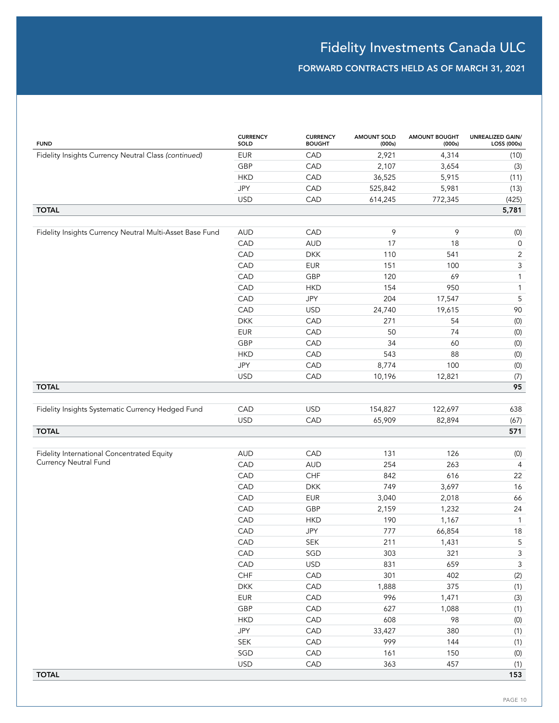| <b>FUND</b>                                              | <b>CURRENCY</b><br>SOLD | <b>CURRENCY</b><br><b>BOUGHT</b> | <b>AMOUNT SOLD</b><br>(000s) | <b>AMOUNT BOUGHT</b><br>(000s) | UNREALIZED GAIN/<br>LOSS (000s) |
|----------------------------------------------------------|-------------------------|----------------------------------|------------------------------|--------------------------------|---------------------------------|
| Fidelity Insights Currency Neutral Class (continued)     | <b>EUR</b>              | CAD                              | 2,921                        | 4,314                          | (10)                            |
|                                                          | GBP                     | CAD                              | 2,107                        | 3,654                          | (3)                             |
|                                                          | <b>HKD</b>              | CAD                              | 36,525                       | 5,915                          | (11)                            |
|                                                          | <b>JPY</b>              | CAD                              | 525,842                      | 5,981                          | (13)                            |
|                                                          | <b>USD</b>              | CAD                              | 614,245                      | 772,345                        | (425)                           |
| <b>TOTAL</b>                                             |                         |                                  |                              |                                | 5,781                           |
|                                                          |                         |                                  |                              |                                |                                 |
| Fidelity Insights Currency Neutral Multi-Asset Base Fund | <b>AUD</b>              | CAD                              | 9                            | 9                              | (0)                             |
|                                                          | CAD                     | <b>AUD</b>                       | 17                           | 18                             | $\mathsf{O}$                    |
|                                                          | CAD                     | <b>DKK</b>                       | 110                          | 541                            | $\mathbf{2}$                    |
|                                                          | CAD                     | <b>EUR</b>                       | 151                          | 100                            | 3                               |
|                                                          | CAD                     | GBP                              | 120                          | 69                             | $\mathbf{1}$                    |
|                                                          | CAD                     | <b>HKD</b>                       | 154                          | 950                            | $\mathbf{1}$                    |
|                                                          | CAD                     | JPY                              | 204                          | 17,547                         | 5                               |
|                                                          | CAD                     | <b>USD</b>                       | 24,740                       | 19,615                         | 90                              |
|                                                          | <b>DKK</b>              | CAD                              | 271                          | 54                             | (0)                             |
|                                                          | <b>EUR</b>              | CAD                              | 50                           | 74                             | (0)                             |
|                                                          | GBP                     | CAD                              | 34                           | 60                             | (0)                             |
|                                                          | <b>HKD</b>              | CAD                              | 543                          | 88                             | (0)                             |
|                                                          | <b>JPY</b>              | CAD                              | 8,774                        | 100                            | (0)                             |
|                                                          | <b>USD</b>              | CAD                              | 10,196                       | 12,821                         | (7)                             |
| <b>TOTAL</b>                                             |                         |                                  |                              |                                | 95                              |
|                                                          |                         |                                  |                              |                                |                                 |
| Fidelity Insights Systematic Currency Hedged Fund        | CAD                     | <b>USD</b>                       | 154,827                      | 122,697                        | 638                             |
|                                                          | <b>USD</b>              | CAD                              | 65,909                       | 82,894                         | (67)                            |
| <b>TOTAL</b>                                             |                         |                                  |                              |                                | 571                             |
|                                                          |                         |                                  |                              |                                |                                 |
| Fidelity International Concentrated Equity               | <b>AUD</b>              | CAD                              | 131                          | 126                            | (0)                             |
| Currency Neutral Fund                                    | CAD                     | <b>AUD</b>                       | 254                          | 263                            | 4                               |
|                                                          | CAD                     | CHF                              | 842                          | 616                            | 22                              |
|                                                          | CAD                     | <b>DKK</b>                       | 749                          | 3,697                          | 16                              |
|                                                          | CAD                     | <b>EUR</b>                       | 3,040                        | 2,018                          | 66                              |
|                                                          | CAD                     | GBP                              | 2,159                        | 1,232                          | 24                              |
|                                                          | CAD                     | <b>HKD</b>                       | 190                          | 1,167                          | $\mathbf{1}$                    |
|                                                          | CAD                     | <b>JPY</b>                       | 777                          | 66,854                         | 18                              |
|                                                          | CAD                     | SEK                              | 211                          | 1,431                          | 5                               |
|                                                          | CAD                     | SGD                              | 303                          | 321                            | 3                               |
|                                                          | CAD                     | <b>USD</b>                       | 831                          | 659                            | $\mathfrak{Z}$                  |
|                                                          | ${\sf CHF}$             | CAD                              | 301                          | 402                            | (2)                             |
|                                                          | <b>DKK</b>              | CAD                              | 1,888                        | 375                            | (1)                             |
|                                                          | EUR                     | CAD                              | 996                          | 1,471                          | (3)                             |
|                                                          | GBP                     | CAD                              | 627                          | 1,088                          | (1)                             |
|                                                          | <b>HKD</b>              | CAD                              | 608                          | 98                             | (0)                             |
|                                                          | JPY                     | CAD                              | 33,427                       | 380                            | (1)                             |
|                                                          | SEK                     | CAD                              | 999                          | 144                            | (1)                             |
|                                                          | SGD                     | CAD                              | 161                          | 150                            | (0)                             |
|                                                          | <b>USD</b>              | CAD                              | 363                          | 457                            | (1)                             |
| <b>TOTAL</b>                                             |                         |                                  |                              |                                | 153                             |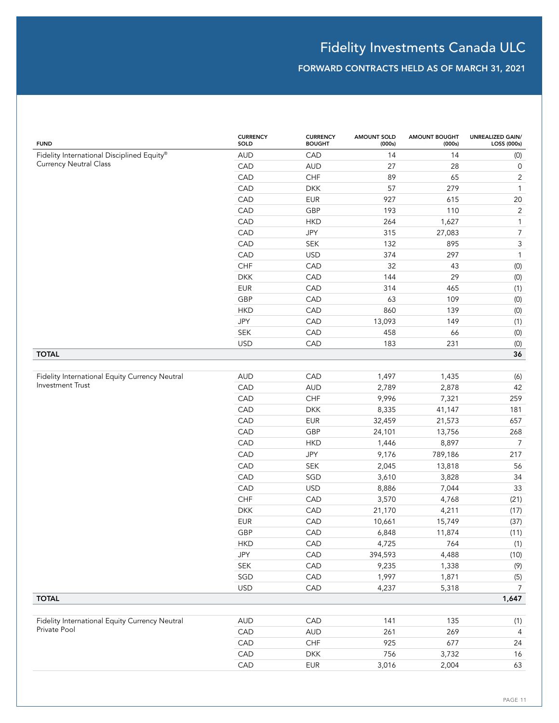| <b>FUND</b>                                                    | <b>CURRENCY</b><br>SOLD | <b>CURRENCY</b><br><b>BOUGHT</b> | <b>AMOUNT SOLD</b><br>(000s) | <b>AMOUNT BOUGHT</b><br>(000s) | <b>UNREALIZED GAIN/</b><br>LOSS (000s) |
|----------------------------------------------------------------|-------------------------|----------------------------------|------------------------------|--------------------------------|----------------------------------------|
| Fidelity International Disciplined Equity®                     | <b>AUD</b>              | CAD                              | 14                           | 14                             | (0)                                    |
| <b>Currency Neutral Class</b>                                  | CAD                     | <b>AUD</b>                       | 27                           | 28                             | $\mathsf{O}$                           |
|                                                                | CAD                     | CHF                              | 89                           | 65                             | $\overline{2}$                         |
|                                                                | CAD                     | <b>DKK</b>                       | 57                           | 279                            | $\mathbf{1}$                           |
|                                                                | CAD                     | <b>EUR</b>                       | 927                          | 615                            | $20\,$                                 |
|                                                                | CAD                     | GBP                              | 193                          | 110                            | $\overline{2}$                         |
|                                                                | CAD                     | <b>HKD</b>                       | 264                          | 1,627                          | $\mathbf{1}$                           |
|                                                                | CAD                     | JPY                              | 315                          | 27,083                         | $\overline{7}$                         |
|                                                                | CAD                     | <b>SEK</b>                       | 132                          | 895                            | $\ensuremath{\mathsf{3}}$              |
|                                                                | CAD                     | <b>USD</b>                       | 374                          | 297                            | $\mathbf{1}$                           |
|                                                                | CHF                     | CAD                              | 32                           | 43                             | (0)                                    |
|                                                                | <b>DKK</b>              | CAD                              | 144                          | 29                             | (0)                                    |
|                                                                | <b>EUR</b>              | CAD                              | 314                          | 465                            | (1)                                    |
|                                                                | GBP                     | CAD                              | 63                           | 109                            | (0)                                    |
|                                                                | <b>HKD</b>              | CAD                              | 860                          | 139                            | (0)                                    |
|                                                                | JPY                     | CAD                              | 13,093                       | 149                            | (1)                                    |
|                                                                | <b>SEK</b>              | CAD                              | 458                          | 66                             | (0)                                    |
|                                                                | <b>USD</b>              | CAD                              | 183                          | 231                            | (0)                                    |
| <b>TOTAL</b>                                                   |                         |                                  |                              |                                | 36                                     |
| Fidelity International Equity Currency Neutral                 | <b>AUD</b>              | CAD                              | 1,497                        | 1,435                          | (6)                                    |
| <b>Investment Trust</b>                                        | CAD                     | <b>AUD</b>                       | 2,789                        | 2,878                          | 42                                     |
|                                                                | CAD                     | CHF                              | 9,996                        | 7,321                          | 259                                    |
|                                                                | CAD                     | <b>DKK</b>                       | 8,335                        | 41,147                         | 181                                    |
|                                                                | CAD                     | <b>EUR</b>                       | 32,459                       | 21,573                         | 657                                    |
|                                                                | CAD                     | GBP                              | 24,101                       | 13,756                         | 268                                    |
|                                                                | CAD                     | <b>HKD</b>                       | 1,446                        | 8,897                          | $\overline{7}$                         |
|                                                                | CAD                     | JPY                              | 9,176                        | 789,186                        | 217                                    |
|                                                                | CAD                     | <b>SEK</b>                       | 2,045                        | 13,818                         | 56                                     |
|                                                                | CAD                     | SGD                              | 3,610                        | 3,828                          | 34                                     |
|                                                                | CAD                     | <b>USD</b>                       | 8,886                        | 7,044                          | 33                                     |
|                                                                | CHF                     | CAD                              | 3,570                        | 4,768                          | (21)                                   |
|                                                                | <b>DKK</b>              | CAD                              | 21,170                       | 4,211                          | (17)                                   |
|                                                                | <b>EUR</b>              | CAD                              | 10,661                       | 15,749                         | (37)                                   |
|                                                                | GBP                     | CAD                              | 6,848                        | 11,874                         | (11)                                   |
|                                                                | <b>HKD</b>              | CAD                              | 4,725                        | 764                            | (1)                                    |
|                                                                | JPY                     | CAD                              | 394,593                      | 4,488                          | (10)                                   |
|                                                                | <b>SEK</b>              | CAD                              | 9,235                        | 1,338                          | (9)                                    |
|                                                                | SGD                     | CAD                              | 1,997                        | 1,871                          | (5)                                    |
|                                                                | <b>USD</b>              | CAD                              | 4,237                        | 5,318                          | $\overline{7}$                         |
| <b>TOTAL</b>                                                   |                         |                                  |                              |                                | 1,647                                  |
|                                                                |                         |                                  |                              |                                |                                        |
| Fidelity International Equity Currency Neutral<br>Private Pool | <b>AUD</b>              | CAD                              | 141                          | 135                            | (1)                                    |
|                                                                | CAD                     | <b>AUD</b>                       | 261                          | 269                            | $\overline{4}$                         |
|                                                                | CAD                     | ${\sf CHF}$                      | 925                          | 677                            | 24                                     |
|                                                                | CAD                     | <b>DKK</b>                       | 756                          | 3,732                          | 16                                     |
|                                                                | CAD                     | <b>EUR</b>                       | 3,016                        | 2,004                          | 63                                     |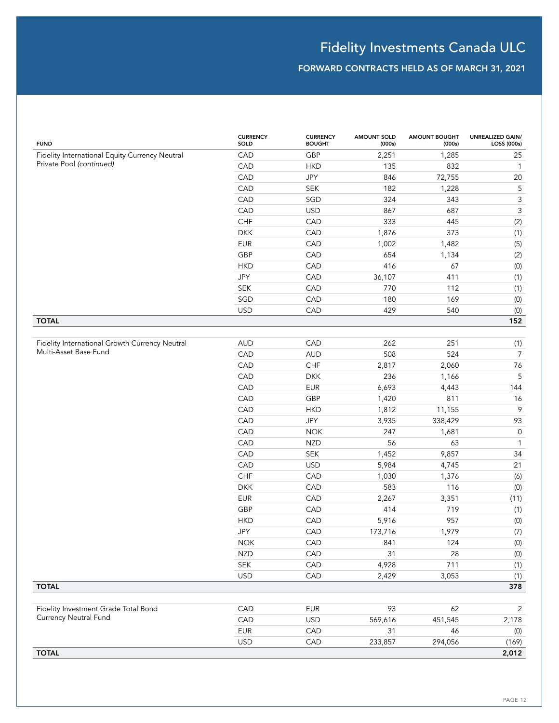| <b>FUND</b>                                    | <b>CURRENCY</b><br>SOLD | <b>CURRENCY</b><br><b>BOUGHT</b> | <b>AMOUNT SOLD</b><br>(000s) | <b>AMOUNT BOUGHT</b><br>(000s) | <b>UNREALIZED GAIN/</b><br>LOSS (000s) |
|------------------------------------------------|-------------------------|----------------------------------|------------------------------|--------------------------------|----------------------------------------|
| Fidelity International Equity Currency Neutral | CAD                     | GBP                              | 2,251                        | 1,285                          | 25                                     |
| Private Pool (continued)                       | CAD                     | <b>HKD</b>                       | 135                          | 832                            | $\overline{1}$                         |
|                                                | CAD                     | <b>JPY</b>                       | 846                          | 72,755                         | 20                                     |
|                                                | CAD                     | <b>SEK</b>                       | 182                          | 1,228                          | 5                                      |
|                                                | CAD                     | SGD                              | 324                          | 343                            | $\mathsf 3$                            |
|                                                | CAD                     | <b>USD</b>                       | 867                          | 687                            | $\mathsf{3}$                           |
|                                                | CHF                     | CAD                              | 333                          | 445                            | (2)                                    |
|                                                | <b>DKK</b>              | CAD                              | 1,876                        | 373                            | (1)                                    |
|                                                | <b>EUR</b>              | CAD                              | 1,002                        | 1,482                          | (5)                                    |
|                                                | GBP                     | CAD                              | 654                          | 1,134                          | (2)                                    |
|                                                | <b>HKD</b>              | CAD                              | 416                          | 67                             | $(0)$                                  |
|                                                | JPY                     | CAD                              | 36,107                       | 411                            | (1)                                    |
|                                                | <b>SEK</b>              | CAD                              | 770                          | 112                            | (1)                                    |
|                                                | SGD                     | CAD                              | 180                          | 169                            | (0)                                    |
|                                                | <b>USD</b>              | CAD                              | 429                          | 540                            | $\left( 0\right)$                      |
| <b>TOTAL</b>                                   |                         |                                  |                              |                                | 152                                    |
|                                                |                         |                                  |                              |                                |                                        |
| Fidelity International Growth Currency Neutral | <b>AUD</b>              | CAD                              | 262                          | 251                            | (1)                                    |
| Multi-Asset Base Fund                          | CAD                     | <b>AUD</b>                       | 508                          | 524                            | $\overline{7}$                         |
|                                                | CAD                     | CHF                              | 2,817                        | 2,060                          | 76                                     |
|                                                | CAD                     | <b>DKK</b>                       | 236                          | 1,166                          | 5                                      |
|                                                | CAD                     | <b>EUR</b>                       | 6,693                        | 4,443                          | 144                                    |
|                                                | CAD                     | GBP                              | 1,420                        | 811                            | 16                                     |
|                                                | CAD                     | <b>HKD</b>                       | 1,812                        | 11,155                         | $\mathcal{P}$                          |
|                                                | CAD                     | JPY                              | 3,935                        | 338,429                        | 93                                     |
|                                                | CAD                     | <b>NOK</b>                       | 247                          | 1,681                          | $\mathsf{O}$                           |
|                                                | CAD                     | <b>NZD</b>                       | 56                           | 63                             | $\mathbf{1}$                           |
|                                                | CAD                     | <b>SEK</b>                       | 1,452                        | 9,857                          | 34                                     |
|                                                | CAD                     | <b>USD</b>                       | 5,984                        | 4,745                          | 21                                     |
|                                                | <b>CHF</b>              | CAD                              | 1,030                        | 1,376                          | (6)                                    |
|                                                | <b>DKK</b>              | CAD                              | 583                          | 116                            | $(0)$                                  |
|                                                | <b>EUR</b>              | CAD                              | 2,267                        | 3,351                          | (11)                                   |
|                                                | GBP                     | CAD                              | 414                          | 719                            | (1)                                    |
|                                                | <b>HKD</b>              | CAD                              | 5,916                        | 957                            | $\left( 0\right)$                      |
|                                                | <b>JPY</b>              | CAD                              | 173,716                      | 1,979                          | (7)                                    |
|                                                | <b>NOK</b>              | CAD                              | 841                          | 124                            | (0)                                    |
|                                                | <b>NZD</b>              | CAD                              | 31                           | 28                             | (0)                                    |
|                                                | SEK                     | CAD                              | 4,928                        | 711                            | (1)                                    |
|                                                | <b>USD</b>              | CAD                              | 2,429                        | 3,053                          | (1)                                    |
| <b>TOTAL</b>                                   |                         |                                  |                              |                                | 378                                    |
|                                                |                         |                                  |                              |                                |                                        |
| Fidelity Investment Grade Total Bond           | CAD                     | <b>EUR</b>                       | 93                           | 62                             | $\overline{2}$                         |
| Currency Neutral Fund                          | CAD                     | <b>USD</b>                       | 569,616                      | 451,545                        | 2,178                                  |
|                                                | <b>EUR</b>              | CAD                              | 31                           | 46                             | (0)                                    |
|                                                | <b>USD</b>              | CAD                              | 233,857                      | 294,056                        | (169)                                  |
| <b>TOTAL</b>                                   |                         |                                  |                              |                                | 2,012                                  |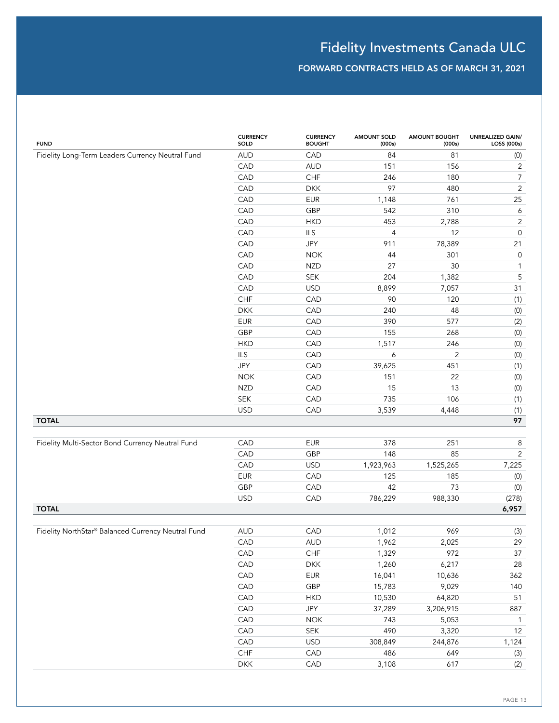| <b>FUND</b>                                        | <b>CURRENCY</b><br>SOLD | <b>CURRENCY</b><br><b>BOUGHT</b> | <b>AMOUNT SOLD</b><br>(000s) | <b>AMOUNT BOUGHT</b><br>(000s) | <b>UNREALIZED GAIN/</b><br>LOSS (000s) |
|----------------------------------------------------|-------------------------|----------------------------------|------------------------------|--------------------------------|----------------------------------------|
| Fidelity Long-Term Leaders Currency Neutral Fund   | <b>AUD</b>              | CAD                              | 84                           | 81                             | (0)                                    |
|                                                    | CAD                     | <b>AUD</b>                       | 151                          | 156                            | $\sqrt{2}$                             |
|                                                    | CAD                     | CHF                              | 246                          | 180                            | $\boldsymbol{7}$                       |
|                                                    | CAD                     | <b>DKK</b>                       | 97                           | 480                            | $\overline{2}$                         |
|                                                    | CAD                     | <b>EUR</b>                       | 1,148                        | 761                            | 25                                     |
|                                                    | CAD                     | GBP                              | 542                          | 310                            | 6                                      |
|                                                    | CAD                     | <b>HKD</b>                       | 453                          | 2,788                          | $\sqrt{2}$                             |
|                                                    | CAD                     | ILS                              | $\overline{4}$               | 12                             | $\mathsf{O}\xspace$                    |
|                                                    | CAD                     | <b>JPY</b>                       | 911                          | 78,389                         | 21                                     |
|                                                    | CAD                     | <b>NOK</b>                       | 44                           | 301                            | $\mathsf{O}\xspace$                    |
|                                                    | CAD                     | <b>NZD</b>                       | 27                           | 30                             | $\mathbf{1}$                           |
|                                                    | CAD                     | <b>SEK</b>                       | 204                          | 1,382                          | $\sqrt{5}$                             |
|                                                    | CAD                     | <b>USD</b>                       | 8,899                        | 7,057                          | 31                                     |
|                                                    | CHF                     | CAD                              | 90                           | 120                            | (1)                                    |
|                                                    | <b>DKK</b>              | CAD                              | 240                          | 48                             | (0)                                    |
|                                                    | <b>EUR</b>              | CAD                              | 390                          | 577                            | (2)                                    |
|                                                    | GBP                     | CAD                              | 155                          | 268                            | (0)                                    |
|                                                    | <b>HKD</b>              | CAD                              | 1,517                        | 246                            | (0)                                    |
|                                                    | ILS                     | CAD                              | $\boldsymbol{6}$             | $\overline{c}$                 | (0)                                    |
|                                                    | JPY                     | CAD                              | 39,625                       | 451                            | (1)                                    |
|                                                    | <b>NOK</b>              | CAD                              | 151                          | 22                             | (0)                                    |
|                                                    | <b>NZD</b>              | CAD                              | 15                           | 13                             | (0)                                    |
|                                                    | SEK                     | CAD                              | 735                          | 106                            | (1)                                    |
|                                                    | <b>USD</b>              | CAD                              | 3,539                        | 4,448                          | (1)                                    |
| <b>TOTAL</b>                                       |                         |                                  |                              |                                | 97                                     |
|                                                    |                         |                                  |                              |                                |                                        |
| Fidelity Multi-Sector Bond Currency Neutral Fund   | CAD                     | <b>EUR</b>                       | 378                          | 251                            | 8                                      |
|                                                    | CAD                     | GBP                              | 148                          | 85                             | $\overline{2}$                         |
|                                                    | CAD                     | <b>USD</b>                       | 1,923,963                    | 1,525,265                      | 7,225                                  |
|                                                    | <b>EUR</b>              | CAD                              | 125                          | 185                            | (0)                                    |
|                                                    | GBP                     | CAD                              | 42                           | 73                             | (0)                                    |
|                                                    | <b>USD</b>              | CAD                              | 786,229                      | 988,330                        | (278)                                  |
| <b>TOTAL</b>                                       |                         |                                  |                              |                                | 6,957                                  |
|                                                    |                         |                                  |                              |                                |                                        |
| Fidelity NorthStar® Balanced Currency Neutral Fund | <b>AUD</b>              | CAD                              | 1,012                        | 969                            | (3)                                    |
|                                                    | CAD                     | AUD                              | 1,962                        | 2,025                          | 29                                     |
|                                                    | CAD                     | ${\sf CHF}$                      | 1,329                        | 972                            | 37                                     |
|                                                    | CAD                     | <b>DKK</b>                       | 1,260                        | 6,217                          | 28                                     |
|                                                    | CAD                     | EUR                              | 16,041                       | 10,636                         | 362                                    |
|                                                    | CAD                     | GBP                              | 15,783                       | 9,029                          | 140                                    |
|                                                    | CAD                     | <b>HKD</b>                       | 10,530                       | 64,820                         | 51                                     |
|                                                    | CAD                     | JPY                              | 37,289                       | 3,206,915                      | 887                                    |
|                                                    | CAD                     | <b>NOK</b>                       | 743                          | 5,053                          | $\mathbf{1}$                           |
|                                                    | CAD                     | SEK                              | 490                          | 3,320                          | $12$                                   |
|                                                    | CAD                     | <b>USD</b>                       | 308,849                      | 244,876                        | 1,124                                  |
|                                                    | ${\sf CHF}$             | CAD                              | 486                          | 649                            | (3)                                    |
|                                                    | ${\sf DKK}$             | CAD                              | 3,108                        | 617                            | (2)                                    |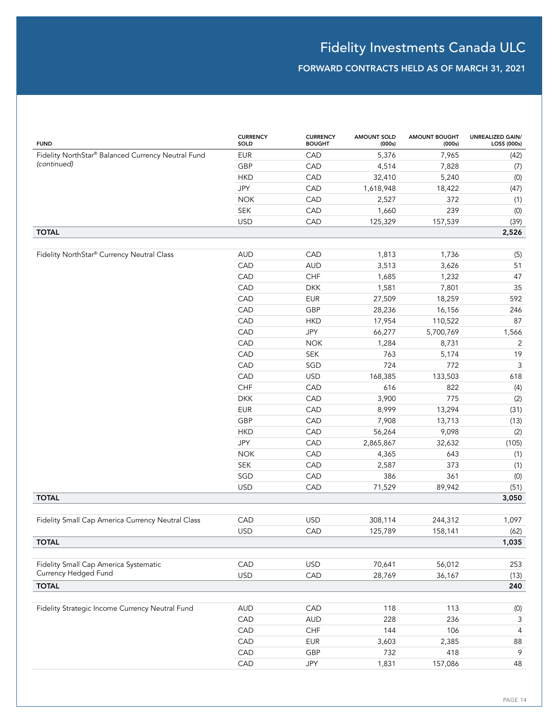| Fidelity NorthStar® Balanced Currency Neutral Fund<br><b>EUR</b><br>CAD<br>5,376<br>7,965<br>(42)<br>(continued)<br>GBP<br>CAD<br>4,514<br>7,828<br>(7)<br><b>HKD</b><br>CAD<br>32,410<br>5,240<br>(0)<br>JPY<br>CAD<br>(47)<br>1,618,948<br>18,422<br><b>NOK</b><br>CAD<br>372<br>(1)<br>2,527<br><b>SEK</b><br>239<br>CAD<br>1,660<br>(0)<br><b>USD</b><br>CAD<br>125,329<br>157,539<br>(39)<br><b>TOTAL</b><br>2,526<br>Fidelity NorthStar® Currency Neutral Class<br><b>AUD</b><br>CAD<br>1,813<br>1,736<br>(5)<br>CAD<br>51<br><b>AUD</b><br>3,513<br>3,626<br>CAD<br>47<br>CHF<br>1,685<br>1,232<br>CAD<br>35<br><b>DKK</b><br>1,581<br>7,801<br>CAD<br>592<br><b>EUR</b><br>27,509<br>18,259<br>CAD<br>GBP<br>28,236<br>246<br>16,156<br>CAD<br>87<br><b>HKD</b><br>17,954<br>110,522<br>CAD<br><b>JPY</b><br>66,277<br>5,700,769<br>1,566<br>CAD<br>$\overline{2}$<br><b>NOK</b><br>1,284<br>8,731<br>CAD<br><b>SEK</b><br>763<br>19<br>5,174<br>$\ensuremath{\mathsf{3}}$<br>CAD<br>724<br>SGD<br>772<br>CAD<br>618<br><b>USD</b><br>168,385<br>133,503<br>CHF<br>CAD<br>616<br>822<br>(4)<br><b>DKK</b><br>CAD<br>3,900<br>775<br>(2)<br>(31)<br><b>EUR</b><br>CAD<br>8,999<br>13,294<br>GBP<br>CAD<br>7,908<br>(13)<br>13,713<br><b>HKD</b><br>CAD<br>56,264<br>9,098<br>(2)<br>JPY<br>(105)<br>CAD<br>2,865,867<br>32,632<br><b>NOK</b><br>CAD<br>643<br>(1)<br>4,365<br>373<br><b>SEK</b><br>CAD<br>2,587<br>(1)<br>386<br>SGD<br>CAD<br>361<br>(0)<br><b>USD</b><br>CAD<br>71,529<br>89,942<br>(51)<br><b>TOTAL</b><br>3,050<br><b>USD</b><br>CAD<br>308,114<br>244,312<br>1,097<br>Fidelity Small Cap America Currency Neutral Class<br><b>USD</b><br>CAD<br>158,141<br>(62)<br>125,789<br><b>TOTAL</b><br>1,035<br>CAD<br><b>USD</b><br>70,641<br>Fidelity Small Cap America Systematic<br>56,012<br>253<br>Currency Hedged Fund<br>28,769<br><b>USD</b><br>CAD<br>36,167<br>(13)<br><b>TOTAL</b><br>240<br>Fidelity Strategic Income Currency Neutral Fund<br><b>AUD</b><br>CAD<br>118<br>113<br>(0)<br>CAD<br>228<br>236<br><b>AUD</b><br>3<br>CHF<br>$\overline{4}$<br>CAD<br>144<br>106<br>CAD<br><b>EUR</b><br>3,603<br>88<br>2,385<br>732<br>9<br>CAD<br>GBP<br>418 | <b>FUND</b> | <b>CURRENCY</b><br>SOLD | <b>CURRENCY</b><br><b>BOUGHT</b> | <b>AMOUNT SOLD</b><br>(000s) | <b>AMOUNT BOUGHT</b><br>(000s) | <b>UNREALIZED GAIN/</b><br>LOSS (000s) |
|-------------------------------------------------------------------------------------------------------------------------------------------------------------------------------------------------------------------------------------------------------------------------------------------------------------------------------------------------------------------------------------------------------------------------------------------------------------------------------------------------------------------------------------------------------------------------------------------------------------------------------------------------------------------------------------------------------------------------------------------------------------------------------------------------------------------------------------------------------------------------------------------------------------------------------------------------------------------------------------------------------------------------------------------------------------------------------------------------------------------------------------------------------------------------------------------------------------------------------------------------------------------------------------------------------------------------------------------------------------------------------------------------------------------------------------------------------------------------------------------------------------------------------------------------------------------------------------------------------------------------------------------------------------------------------------------------------------------------------------------------------------------------------------------------------------------------------------------------------------------------------------------------------------------------------------------------------------------------------------------------------------------------------------------------------------------------------------------------------------------------------------------------------------------------------------------|-------------|-------------------------|----------------------------------|------------------------------|--------------------------------|----------------------------------------|
|                                                                                                                                                                                                                                                                                                                                                                                                                                                                                                                                                                                                                                                                                                                                                                                                                                                                                                                                                                                                                                                                                                                                                                                                                                                                                                                                                                                                                                                                                                                                                                                                                                                                                                                                                                                                                                                                                                                                                                                                                                                                                                                                                                                           |             |                         |                                  |                              |                                |                                        |
|                                                                                                                                                                                                                                                                                                                                                                                                                                                                                                                                                                                                                                                                                                                                                                                                                                                                                                                                                                                                                                                                                                                                                                                                                                                                                                                                                                                                                                                                                                                                                                                                                                                                                                                                                                                                                                                                                                                                                                                                                                                                                                                                                                                           |             |                         |                                  |                              |                                |                                        |
|                                                                                                                                                                                                                                                                                                                                                                                                                                                                                                                                                                                                                                                                                                                                                                                                                                                                                                                                                                                                                                                                                                                                                                                                                                                                                                                                                                                                                                                                                                                                                                                                                                                                                                                                                                                                                                                                                                                                                                                                                                                                                                                                                                                           |             |                         |                                  |                              |                                |                                        |
|                                                                                                                                                                                                                                                                                                                                                                                                                                                                                                                                                                                                                                                                                                                                                                                                                                                                                                                                                                                                                                                                                                                                                                                                                                                                                                                                                                                                                                                                                                                                                                                                                                                                                                                                                                                                                                                                                                                                                                                                                                                                                                                                                                                           |             |                         |                                  |                              |                                |                                        |
|                                                                                                                                                                                                                                                                                                                                                                                                                                                                                                                                                                                                                                                                                                                                                                                                                                                                                                                                                                                                                                                                                                                                                                                                                                                                                                                                                                                                                                                                                                                                                                                                                                                                                                                                                                                                                                                                                                                                                                                                                                                                                                                                                                                           |             |                         |                                  |                              |                                |                                        |
|                                                                                                                                                                                                                                                                                                                                                                                                                                                                                                                                                                                                                                                                                                                                                                                                                                                                                                                                                                                                                                                                                                                                                                                                                                                                                                                                                                                                                                                                                                                                                                                                                                                                                                                                                                                                                                                                                                                                                                                                                                                                                                                                                                                           |             |                         |                                  |                              |                                |                                        |
|                                                                                                                                                                                                                                                                                                                                                                                                                                                                                                                                                                                                                                                                                                                                                                                                                                                                                                                                                                                                                                                                                                                                                                                                                                                                                                                                                                                                                                                                                                                                                                                                                                                                                                                                                                                                                                                                                                                                                                                                                                                                                                                                                                                           |             |                         |                                  |                              |                                |                                        |
|                                                                                                                                                                                                                                                                                                                                                                                                                                                                                                                                                                                                                                                                                                                                                                                                                                                                                                                                                                                                                                                                                                                                                                                                                                                                                                                                                                                                                                                                                                                                                                                                                                                                                                                                                                                                                                                                                                                                                                                                                                                                                                                                                                                           |             |                         |                                  |                              |                                |                                        |
|                                                                                                                                                                                                                                                                                                                                                                                                                                                                                                                                                                                                                                                                                                                                                                                                                                                                                                                                                                                                                                                                                                                                                                                                                                                                                                                                                                                                                                                                                                                                                                                                                                                                                                                                                                                                                                                                                                                                                                                                                                                                                                                                                                                           |             |                         |                                  |                              |                                |                                        |
|                                                                                                                                                                                                                                                                                                                                                                                                                                                                                                                                                                                                                                                                                                                                                                                                                                                                                                                                                                                                                                                                                                                                                                                                                                                                                                                                                                                                                                                                                                                                                                                                                                                                                                                                                                                                                                                                                                                                                                                                                                                                                                                                                                                           |             |                         |                                  |                              |                                |                                        |
|                                                                                                                                                                                                                                                                                                                                                                                                                                                                                                                                                                                                                                                                                                                                                                                                                                                                                                                                                                                                                                                                                                                                                                                                                                                                                                                                                                                                                                                                                                                                                                                                                                                                                                                                                                                                                                                                                                                                                                                                                                                                                                                                                                                           |             |                         |                                  |                              |                                |                                        |
|                                                                                                                                                                                                                                                                                                                                                                                                                                                                                                                                                                                                                                                                                                                                                                                                                                                                                                                                                                                                                                                                                                                                                                                                                                                                                                                                                                                                                                                                                                                                                                                                                                                                                                                                                                                                                                                                                                                                                                                                                                                                                                                                                                                           |             |                         |                                  |                              |                                |                                        |
|                                                                                                                                                                                                                                                                                                                                                                                                                                                                                                                                                                                                                                                                                                                                                                                                                                                                                                                                                                                                                                                                                                                                                                                                                                                                                                                                                                                                                                                                                                                                                                                                                                                                                                                                                                                                                                                                                                                                                                                                                                                                                                                                                                                           |             |                         |                                  |                              |                                |                                        |
|                                                                                                                                                                                                                                                                                                                                                                                                                                                                                                                                                                                                                                                                                                                                                                                                                                                                                                                                                                                                                                                                                                                                                                                                                                                                                                                                                                                                                                                                                                                                                                                                                                                                                                                                                                                                                                                                                                                                                                                                                                                                                                                                                                                           |             |                         |                                  |                              |                                |                                        |
|                                                                                                                                                                                                                                                                                                                                                                                                                                                                                                                                                                                                                                                                                                                                                                                                                                                                                                                                                                                                                                                                                                                                                                                                                                                                                                                                                                                                                                                                                                                                                                                                                                                                                                                                                                                                                                                                                                                                                                                                                                                                                                                                                                                           |             |                         |                                  |                              |                                |                                        |
|                                                                                                                                                                                                                                                                                                                                                                                                                                                                                                                                                                                                                                                                                                                                                                                                                                                                                                                                                                                                                                                                                                                                                                                                                                                                                                                                                                                                                                                                                                                                                                                                                                                                                                                                                                                                                                                                                                                                                                                                                                                                                                                                                                                           |             |                         |                                  |                              |                                |                                        |
|                                                                                                                                                                                                                                                                                                                                                                                                                                                                                                                                                                                                                                                                                                                                                                                                                                                                                                                                                                                                                                                                                                                                                                                                                                                                                                                                                                                                                                                                                                                                                                                                                                                                                                                                                                                                                                                                                                                                                                                                                                                                                                                                                                                           |             |                         |                                  |                              |                                |                                        |
|                                                                                                                                                                                                                                                                                                                                                                                                                                                                                                                                                                                                                                                                                                                                                                                                                                                                                                                                                                                                                                                                                                                                                                                                                                                                                                                                                                                                                                                                                                                                                                                                                                                                                                                                                                                                                                                                                                                                                                                                                                                                                                                                                                                           |             |                         |                                  |                              |                                |                                        |
|                                                                                                                                                                                                                                                                                                                                                                                                                                                                                                                                                                                                                                                                                                                                                                                                                                                                                                                                                                                                                                                                                                                                                                                                                                                                                                                                                                                                                                                                                                                                                                                                                                                                                                                                                                                                                                                                                                                                                                                                                                                                                                                                                                                           |             |                         |                                  |                              |                                |                                        |
|                                                                                                                                                                                                                                                                                                                                                                                                                                                                                                                                                                                                                                                                                                                                                                                                                                                                                                                                                                                                                                                                                                                                                                                                                                                                                                                                                                                                                                                                                                                                                                                                                                                                                                                                                                                                                                                                                                                                                                                                                                                                                                                                                                                           |             |                         |                                  |                              |                                |                                        |
|                                                                                                                                                                                                                                                                                                                                                                                                                                                                                                                                                                                                                                                                                                                                                                                                                                                                                                                                                                                                                                                                                                                                                                                                                                                                                                                                                                                                                                                                                                                                                                                                                                                                                                                                                                                                                                                                                                                                                                                                                                                                                                                                                                                           |             |                         |                                  |                              |                                |                                        |
|                                                                                                                                                                                                                                                                                                                                                                                                                                                                                                                                                                                                                                                                                                                                                                                                                                                                                                                                                                                                                                                                                                                                                                                                                                                                                                                                                                                                                                                                                                                                                                                                                                                                                                                                                                                                                                                                                                                                                                                                                                                                                                                                                                                           |             |                         |                                  |                              |                                |                                        |
|                                                                                                                                                                                                                                                                                                                                                                                                                                                                                                                                                                                                                                                                                                                                                                                                                                                                                                                                                                                                                                                                                                                                                                                                                                                                                                                                                                                                                                                                                                                                                                                                                                                                                                                                                                                                                                                                                                                                                                                                                                                                                                                                                                                           |             |                         |                                  |                              |                                |                                        |
|                                                                                                                                                                                                                                                                                                                                                                                                                                                                                                                                                                                                                                                                                                                                                                                                                                                                                                                                                                                                                                                                                                                                                                                                                                                                                                                                                                                                                                                                                                                                                                                                                                                                                                                                                                                                                                                                                                                                                                                                                                                                                                                                                                                           |             |                         |                                  |                              |                                |                                        |
|                                                                                                                                                                                                                                                                                                                                                                                                                                                                                                                                                                                                                                                                                                                                                                                                                                                                                                                                                                                                                                                                                                                                                                                                                                                                                                                                                                                                                                                                                                                                                                                                                                                                                                                                                                                                                                                                                                                                                                                                                                                                                                                                                                                           |             |                         |                                  |                              |                                |                                        |
|                                                                                                                                                                                                                                                                                                                                                                                                                                                                                                                                                                                                                                                                                                                                                                                                                                                                                                                                                                                                                                                                                                                                                                                                                                                                                                                                                                                                                                                                                                                                                                                                                                                                                                                                                                                                                                                                                                                                                                                                                                                                                                                                                                                           |             |                         |                                  |                              |                                |                                        |
|                                                                                                                                                                                                                                                                                                                                                                                                                                                                                                                                                                                                                                                                                                                                                                                                                                                                                                                                                                                                                                                                                                                                                                                                                                                                                                                                                                                                                                                                                                                                                                                                                                                                                                                                                                                                                                                                                                                                                                                                                                                                                                                                                                                           |             |                         |                                  |                              |                                |                                        |
|                                                                                                                                                                                                                                                                                                                                                                                                                                                                                                                                                                                                                                                                                                                                                                                                                                                                                                                                                                                                                                                                                                                                                                                                                                                                                                                                                                                                                                                                                                                                                                                                                                                                                                                                                                                                                                                                                                                                                                                                                                                                                                                                                                                           |             |                         |                                  |                              |                                |                                        |
|                                                                                                                                                                                                                                                                                                                                                                                                                                                                                                                                                                                                                                                                                                                                                                                                                                                                                                                                                                                                                                                                                                                                                                                                                                                                                                                                                                                                                                                                                                                                                                                                                                                                                                                                                                                                                                                                                                                                                                                                                                                                                                                                                                                           |             |                         |                                  |                              |                                |                                        |
|                                                                                                                                                                                                                                                                                                                                                                                                                                                                                                                                                                                                                                                                                                                                                                                                                                                                                                                                                                                                                                                                                                                                                                                                                                                                                                                                                                                                                                                                                                                                                                                                                                                                                                                                                                                                                                                                                                                                                                                                                                                                                                                                                                                           |             |                         |                                  |                              |                                |                                        |
|                                                                                                                                                                                                                                                                                                                                                                                                                                                                                                                                                                                                                                                                                                                                                                                                                                                                                                                                                                                                                                                                                                                                                                                                                                                                                                                                                                                                                                                                                                                                                                                                                                                                                                                                                                                                                                                                                                                                                                                                                                                                                                                                                                                           |             |                         |                                  |                              |                                |                                        |
|                                                                                                                                                                                                                                                                                                                                                                                                                                                                                                                                                                                                                                                                                                                                                                                                                                                                                                                                                                                                                                                                                                                                                                                                                                                                                                                                                                                                                                                                                                                                                                                                                                                                                                                                                                                                                                                                                                                                                                                                                                                                                                                                                                                           |             |                         |                                  |                              |                                |                                        |
|                                                                                                                                                                                                                                                                                                                                                                                                                                                                                                                                                                                                                                                                                                                                                                                                                                                                                                                                                                                                                                                                                                                                                                                                                                                                                                                                                                                                                                                                                                                                                                                                                                                                                                                                                                                                                                                                                                                                                                                                                                                                                                                                                                                           |             |                         |                                  |                              |                                |                                        |
|                                                                                                                                                                                                                                                                                                                                                                                                                                                                                                                                                                                                                                                                                                                                                                                                                                                                                                                                                                                                                                                                                                                                                                                                                                                                                                                                                                                                                                                                                                                                                                                                                                                                                                                                                                                                                                                                                                                                                                                                                                                                                                                                                                                           |             |                         |                                  |                              |                                |                                        |
|                                                                                                                                                                                                                                                                                                                                                                                                                                                                                                                                                                                                                                                                                                                                                                                                                                                                                                                                                                                                                                                                                                                                                                                                                                                                                                                                                                                                                                                                                                                                                                                                                                                                                                                                                                                                                                                                                                                                                                                                                                                                                                                                                                                           |             |                         |                                  |                              |                                |                                        |
|                                                                                                                                                                                                                                                                                                                                                                                                                                                                                                                                                                                                                                                                                                                                                                                                                                                                                                                                                                                                                                                                                                                                                                                                                                                                                                                                                                                                                                                                                                                                                                                                                                                                                                                                                                                                                                                                                                                                                                                                                                                                                                                                                                                           |             |                         |                                  |                              |                                |                                        |
|                                                                                                                                                                                                                                                                                                                                                                                                                                                                                                                                                                                                                                                                                                                                                                                                                                                                                                                                                                                                                                                                                                                                                                                                                                                                                                                                                                                                                                                                                                                                                                                                                                                                                                                                                                                                                                                                                                                                                                                                                                                                                                                                                                                           |             |                         |                                  |                              |                                |                                        |
|                                                                                                                                                                                                                                                                                                                                                                                                                                                                                                                                                                                                                                                                                                                                                                                                                                                                                                                                                                                                                                                                                                                                                                                                                                                                                                                                                                                                                                                                                                                                                                                                                                                                                                                                                                                                                                                                                                                                                                                                                                                                                                                                                                                           |             |                         |                                  |                              |                                |                                        |
|                                                                                                                                                                                                                                                                                                                                                                                                                                                                                                                                                                                                                                                                                                                                                                                                                                                                                                                                                                                                                                                                                                                                                                                                                                                                                                                                                                                                                                                                                                                                                                                                                                                                                                                                                                                                                                                                                                                                                                                                                                                                                                                                                                                           |             |                         |                                  |                              |                                |                                        |
|                                                                                                                                                                                                                                                                                                                                                                                                                                                                                                                                                                                                                                                                                                                                                                                                                                                                                                                                                                                                                                                                                                                                                                                                                                                                                                                                                                                                                                                                                                                                                                                                                                                                                                                                                                                                                                                                                                                                                                                                                                                                                                                                                                                           |             |                         |                                  |                              |                                |                                        |
|                                                                                                                                                                                                                                                                                                                                                                                                                                                                                                                                                                                                                                                                                                                                                                                                                                                                                                                                                                                                                                                                                                                                                                                                                                                                                                                                                                                                                                                                                                                                                                                                                                                                                                                                                                                                                                                                                                                                                                                                                                                                                                                                                                                           |             |                         |                                  |                              |                                |                                        |
|                                                                                                                                                                                                                                                                                                                                                                                                                                                                                                                                                                                                                                                                                                                                                                                                                                                                                                                                                                                                                                                                                                                                                                                                                                                                                                                                                                                                                                                                                                                                                                                                                                                                                                                                                                                                                                                                                                                                                                                                                                                                                                                                                                                           |             |                         |                                  |                              |                                |                                        |
|                                                                                                                                                                                                                                                                                                                                                                                                                                                                                                                                                                                                                                                                                                                                                                                                                                                                                                                                                                                                                                                                                                                                                                                                                                                                                                                                                                                                                                                                                                                                                                                                                                                                                                                                                                                                                                                                                                                                                                                                                                                                                                                                                                                           |             |                         |                                  |                              |                                |                                        |
|                                                                                                                                                                                                                                                                                                                                                                                                                                                                                                                                                                                                                                                                                                                                                                                                                                                                                                                                                                                                                                                                                                                                                                                                                                                                                                                                                                                                                                                                                                                                                                                                                                                                                                                                                                                                                                                                                                                                                                                                                                                                                                                                                                                           |             |                         |                                  |                              |                                |                                        |
|                                                                                                                                                                                                                                                                                                                                                                                                                                                                                                                                                                                                                                                                                                                                                                                                                                                                                                                                                                                                                                                                                                                                                                                                                                                                                                                                                                                                                                                                                                                                                                                                                                                                                                                                                                                                                                                                                                                                                                                                                                                                                                                                                                                           |             |                         |                                  |                              |                                |                                        |
|                                                                                                                                                                                                                                                                                                                                                                                                                                                                                                                                                                                                                                                                                                                                                                                                                                                                                                                                                                                                                                                                                                                                                                                                                                                                                                                                                                                                                                                                                                                                                                                                                                                                                                                                                                                                                                                                                                                                                                                                                                                                                                                                                                                           |             |                         |                                  |                              |                                |                                        |
|                                                                                                                                                                                                                                                                                                                                                                                                                                                                                                                                                                                                                                                                                                                                                                                                                                                                                                                                                                                                                                                                                                                                                                                                                                                                                                                                                                                                                                                                                                                                                                                                                                                                                                                                                                                                                                                                                                                                                                                                                                                                                                                                                                                           |             | CAD                     | JPY                              | 1,831                        | 157,086                        | 48                                     |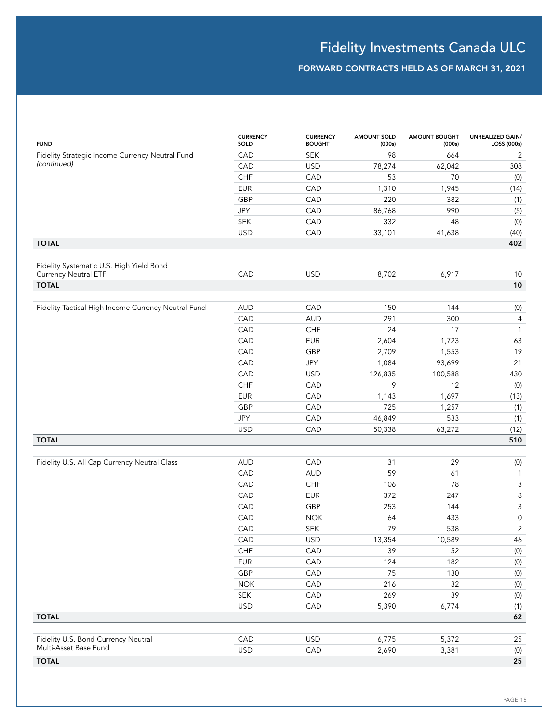| <b>FUND</b>                                                    | <b>CURRENCY</b><br>SOLD | <b>CURRENCY</b><br><b>BOUGHT</b> | <b>AMOUNT SOLD</b><br>(000s) | <b>AMOUNT BOUGHT</b><br>(000s) | <b>UNREALIZED GAIN/</b><br>LOSS (000s) |
|----------------------------------------------------------------|-------------------------|----------------------------------|------------------------------|--------------------------------|----------------------------------------|
| Fidelity Strategic Income Currency Neutral Fund<br>(continued) | CAD                     | <b>SEK</b>                       | 98                           | 664                            | 2                                      |
|                                                                | CAD                     | <b>USD</b>                       | 78,274                       | 62,042                         | 308                                    |
|                                                                | <b>CHF</b>              | CAD                              | 53                           | 70                             | (0)                                    |
|                                                                | <b>EUR</b>              | CAD                              | 1,310                        | 1,945                          | (14)                                   |
|                                                                | GBP                     | CAD                              | 220                          | 382                            | (1)                                    |
|                                                                | <b>JPY</b>              | CAD                              | 86,768                       | 990                            | (5)                                    |
|                                                                | <b>SEK</b>              | CAD                              | 332                          | 48                             | (0)                                    |
|                                                                | <b>USD</b>              | CAD                              | 33,101                       | 41,638                         | (40)                                   |
| <b>TOTAL</b>                                                   |                         |                                  |                              |                                | 402                                    |
|                                                                |                         |                                  |                              |                                |                                        |
| Fidelity Systematic U.S. High Yield Bond                       |                         |                                  |                              |                                |                                        |
| <b>Currency Neutral ETF</b>                                    | CAD                     | <b>USD</b>                       | 8,702                        | 6,917                          | 10                                     |
| <b>TOTAL</b>                                                   |                         |                                  |                              |                                | 10                                     |
| Fidelity Tactical High Income Currency Neutral Fund            | <b>AUD</b>              | CAD                              | 150                          | 144                            | (0)                                    |
|                                                                | CAD                     | <b>AUD</b>                       | 291                          | 300                            | 4                                      |
|                                                                | CAD                     | CHF                              | 24                           | 17                             | $\mathbf{1}$                           |
|                                                                | CAD                     | <b>EUR</b>                       | 2,604                        | 1,723                          | 63                                     |
|                                                                |                         | GBP                              |                              |                                |                                        |
|                                                                | CAD                     | <b>JPY</b>                       | 2,709                        | 1,553                          | 19<br>21                               |
|                                                                | CAD                     |                                  | 1,084                        | 93,699                         |                                        |
|                                                                | CAD                     | <b>USD</b>                       | 126,835                      | 100,588                        | 430                                    |
|                                                                | CHF                     | CAD                              | 9                            | 12                             | (0)                                    |
|                                                                | <b>EUR</b>              | CAD                              | 1,143                        | 1,697                          | (13)                                   |
|                                                                | GBP                     | CAD                              | 725                          | 1,257                          | (1)                                    |
|                                                                | JPY                     | CAD                              | 46,849                       | 533                            | (1)                                    |
|                                                                | <b>USD</b>              | CAD                              | 50,338                       | 63,272                         | (12)                                   |
| <b>TOTAL</b>                                                   |                         |                                  |                              |                                | 510                                    |
| Fidelity U.S. All Cap Currency Neutral Class                   | <b>AUD</b>              | CAD                              | 31                           | 29                             |                                        |
|                                                                | CAD                     | <b>AUD</b>                       | 59                           | 61                             | (0)<br>$\mathbf{1}$                    |
|                                                                | CAD                     | CHF                              | 106                          | 78                             | $\mathsf 3$                            |
|                                                                | CAD                     | <b>EUR</b>                       | 372                          | 247                            | $\,8\,$                                |
|                                                                | CAD                     | GBP                              | 253                          | 144                            | $\mathsf 3$                            |
|                                                                | CAD                     | <b>NOK</b>                       | 64                           | 433                            | 0                                      |
|                                                                | CAD                     | <b>SEK</b>                       | 79                           | 538                            | $\overline{2}$                         |
|                                                                | CAD                     | <b>USD</b>                       | 13,354                       | 10,589                         | 46                                     |
|                                                                | CHF                     | CAD                              | 39                           | 52                             | (0)                                    |
|                                                                | <b>EUR</b>              | CAD                              | 124                          | 182                            | $(0)$                                  |
|                                                                | GBP                     | CAD                              | $75\,$                       | 130                            | $\left( 0\right)$                      |
|                                                                | <b>NOK</b>              | CAD                              | 216                          | 32                             | $\left( 0\right)$                      |
|                                                                | SEK                     | CAD                              | 269                          | 39                             | $\left( 0\right)$                      |
|                                                                |                         |                                  |                              |                                |                                        |
| <b>TOTAL</b>                                                   | <b>USD</b>              | CAD                              | 5,390                        | 6,774                          | (1)<br>62                              |
|                                                                |                         |                                  |                              |                                |                                        |
| Fidelity U.S. Bond Currency Neutral                            | CAD                     | <b>USD</b>                       | 6,775                        | 5,372                          | 25                                     |
| Multi-Asset Base Fund                                          | <b>USD</b>              | CAD                              | 2,690                        | 3,381                          | (0)                                    |
| <b>TOTAL</b>                                                   |                         |                                  |                              |                                | 25                                     |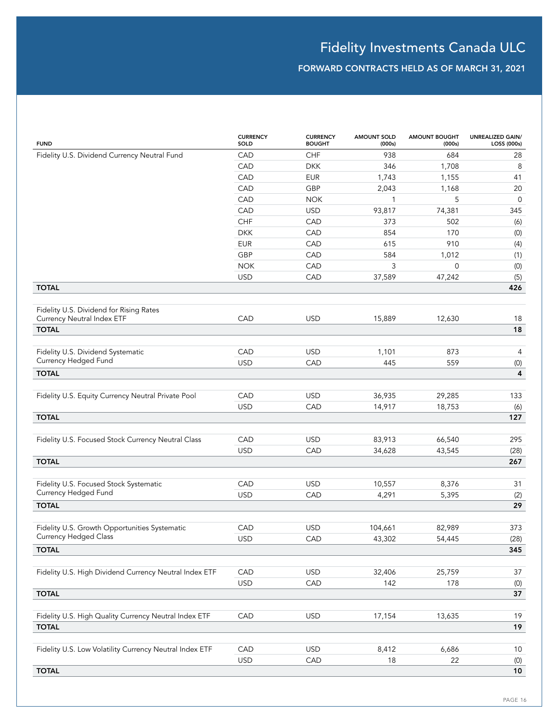| <b>FUND</b>                                             | <b>CURRENCY</b><br>SOLD | <b>CURRENCY</b><br><b>BOUGHT</b> | <b>AMOUNT SOLD</b><br>(000s) | <b>AMOUNT BOUGHT</b><br>(000s) | UNREALIZED GAIN/<br>LOSS (000s) |
|---------------------------------------------------------|-------------------------|----------------------------------|------------------------------|--------------------------------|---------------------------------|
| Fidelity U.S. Dividend Currency Neutral Fund            | CAD                     | CHF                              | 938                          | 684                            | 28                              |
|                                                         | CAD                     | <b>DKK</b>                       | 346                          | 1,708                          | 8                               |
|                                                         | CAD                     | <b>EUR</b>                       | 1,743                        | 1,155                          | 41                              |
|                                                         | CAD                     | GBP                              | 2,043                        | 1,168                          | 20                              |
|                                                         | CAD                     | <b>NOK</b>                       | 1                            | 5                              | $\mathbf 0$                     |
|                                                         | CAD                     | <b>USD</b>                       | 93,817                       | 74,381                         | 345                             |
|                                                         | CHF                     | CAD                              | 373                          | 502                            | (6)                             |
|                                                         | <b>DKK</b>              | CAD                              | 854                          | 170                            | (0)                             |
|                                                         | <b>EUR</b>              | CAD                              | 615                          | 910                            | (4)                             |
|                                                         | GBP                     | CAD                              | 584                          | 1,012                          | (1)                             |
|                                                         | <b>NOK</b>              | CAD                              | 3                            | 0                              | (0)                             |
|                                                         | <b>USD</b>              | CAD                              | 37,589                       | 47,242                         | (5)                             |
| <b>TOTAL</b>                                            |                         |                                  |                              |                                | 426                             |
|                                                         |                         |                                  |                              |                                |                                 |
| Fidelity U.S. Dividend for Rising Rates                 |                         |                                  |                              |                                |                                 |
| Currency Neutral Index ETF                              | CAD                     | <b>USD</b>                       | 15,889                       | 12,630                         | 18                              |
| <b>TOTAL</b>                                            |                         |                                  |                              |                                | 18                              |
| Fidelity U.S. Dividend Systematic                       | CAD                     | <b>USD</b>                       |                              | 873                            |                                 |
| Currency Hedged Fund                                    | <b>USD</b>              |                                  | 1,101<br>445                 | 559                            | 4                               |
| <b>TOTAL</b>                                            |                         | CAD                              |                              |                                | (0)<br>$\overline{\mathbf{4}}$  |
|                                                         |                         |                                  |                              |                                |                                 |
| Fidelity U.S. Equity Currency Neutral Private Pool      | CAD                     | <b>USD</b>                       | 36,935                       | 29,285                         | 133                             |
|                                                         | <b>USD</b>              | CAD                              | 14,917                       | 18,753                         | (6)                             |
| <b>TOTAL</b>                                            |                         |                                  |                              |                                | 127                             |
|                                                         |                         |                                  |                              |                                |                                 |
| Fidelity U.S. Focused Stock Currency Neutral Class      | CAD                     | <b>USD</b>                       | 83,913                       | 66,540                         | 295                             |
|                                                         | <b>USD</b>              | CAD                              | 34,628                       | 43,545                         | (28)                            |
| <b>TOTAL</b>                                            |                         |                                  |                              |                                | 267                             |
|                                                         |                         |                                  |                              |                                |                                 |
| Fidelity U.S. Focused Stock Systematic                  | CAD                     | <b>USD</b>                       | 10,557                       | 8,376                          | 31                              |
| Currency Hedged Fund                                    | <b>USD</b>              | CAD                              | 4,291                        | 5,395                          | (2)                             |
| <b>TOTAL</b>                                            |                         |                                  |                              |                                | 29                              |
|                                                         |                         |                                  |                              |                                |                                 |
| Fidelity U.S. Growth Opportunities Systematic           | CAD                     | <b>USD</b>                       | 104,661                      | 82,989                         | 373                             |
| <b>Currency Hedged Class</b>                            | <b>USD</b>              | CAD                              | 43,302                       | 54,445                         | (28)                            |
| <b>TOTAL</b>                                            |                         |                                  |                              |                                | 345                             |
|                                                         |                         |                                  |                              |                                |                                 |
| Fidelity U.S. High Dividend Currency Neutral Index ETF  | CAD                     | <b>USD</b>                       | 32,406                       | 25,759                         | 37                              |
|                                                         | <b>USD</b>              | CAD                              | 142                          | 178                            | (0)                             |
| <b>TOTAL</b>                                            |                         |                                  |                              |                                | 37                              |
|                                                         |                         |                                  |                              |                                |                                 |
| Fidelity U.S. High Quality Currency Neutral Index ETF   | CAD                     | <b>USD</b>                       | 17,154                       | 13,635                         | 19                              |
| <b>TOTAL</b>                                            |                         |                                  |                              |                                | 19                              |
|                                                         |                         |                                  |                              |                                |                                 |
| Fidelity U.S. Low Volatility Currency Neutral Index ETF | CAD                     | <b>USD</b>                       | 8,412                        | 6,686                          | 10                              |
|                                                         | <b>USD</b>              | CAD                              | 18                           | 22                             | (0)                             |
| <b>TOTAL</b>                                            |                         |                                  |                              |                                | 10                              |